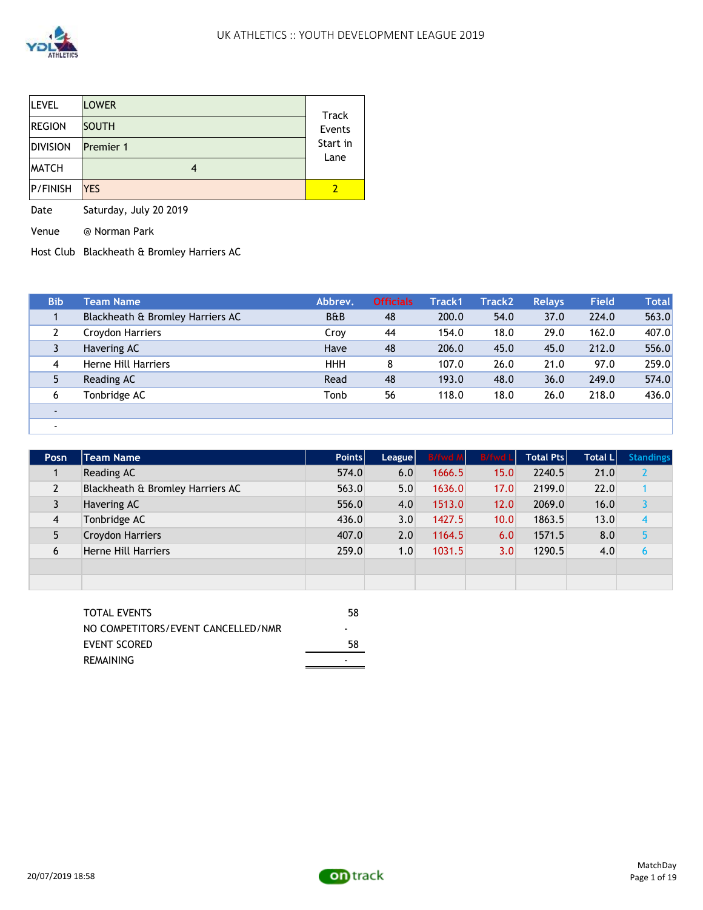

| <b>LEVEL</b>    | <b>LOWER</b>     | Track                    |
|-----------------|------------------|--------------------------|
| <b>REGION</b>   | <b>SOUTH</b>     | Events                   |
| <b>DIVISION</b> | <b>Premier 1</b> | Start in<br>Lane         |
| <b>MATCH</b>    |                  |                          |
| <b>P/FINISH</b> | <b>YES</b>       | $\overline{\phantom{a}}$ |

Date Saturday, July 20 2019

Venue @ Norman Park

-

Host Club Blackheath & Bromley Harriers AC

| <b>Bib</b>     | <b>Team Name</b>                 | Abbrev.        | <b>Officials</b> | Track1 | <b>Track2</b> | <b>Relays</b> | <b>Field</b> | Total |
|----------------|----------------------------------|----------------|------------------|--------|---------------|---------------|--------------|-------|
|                | Blackheath & Bromley Harriers AC | <b>B&amp;B</b> | 48               | 200.0  | 54.0          | 37.0          | 224.0        | 563.0 |
|                | Croydon Harriers                 | Croy           | 44               | 154.0  | 18.0          | 29.0          | 162.0        | 407.0 |
|                | Havering AC                      | Have           | 48               | 206.0  | 45.0          | 45.0          | 212.0        | 556.0 |
| 4              | Herne Hill Harriers              | <b>HHH</b>     | 8                | 107.0  | 26.0          | 21.0          | 97.0         | 259.0 |
|                | Reading AC                       | Read           | 48               | 193.0  | 48.0          | 36.0          | 249.0        | 574.0 |
| 6              | Tonbridge AC                     | Tonb           | 56               | 118.0  | 18.0          | 26.0          | 218.0        | 436.0 |
| $\blacksquare$ |                                  |                |                  |        |               |               |              |       |

| Posn           | <b>Team Name</b>                 | Points | League | <b>B/fwd M</b> | B/fwd L | <b>Total Ptsl</b> | <b>Total LI</b> | <b>Standings</b> |
|----------------|----------------------------------|--------|--------|----------------|---------|-------------------|-----------------|------------------|
|                | Reading AC                       | 574.0  | 6.0    | 1666.5         | 15.0    | 2240.5            | 21.0            |                  |
| $\overline{2}$ | Blackheath & Bromley Harriers AC | 563.0  | 5.0    | 1636.0         | 17.0    | 2199.0            | 22.0            |                  |
|                | Havering AC                      | 556.0  | 4.0    | 1513.0         | 12.0    | 2069.0            | 16.0            |                  |
| 4              | Tonbridge AC                     | 436.0  | 3.0    | 1427.5         | 10.0    | 1863.5            | 13.0            | 4                |
| 5              | <b>Croydon Harriers</b>          | 407.0  | 2.0    | 1164.5         | 6.0     | 1571.5            | 8.0             |                  |
| 6              | <b>Herne Hill Harriers</b>       | 259.0  | 1.0    | 1031.5         | 3.0     | 1290.5            | 4.0             | 6                |
|                |                                  |        |        |                |         |                   |                 |                  |
|                |                                  |        |        |                |         |                   |                 |                  |

| TOTAL EVENTS                       | 58 |
|------------------------------------|----|
| NO COMPETITORS/EVENT CANCELLED/NMR | -  |
| EVENT SCORED                       | 58 |
| <b>REMAINING</b>                   | -  |

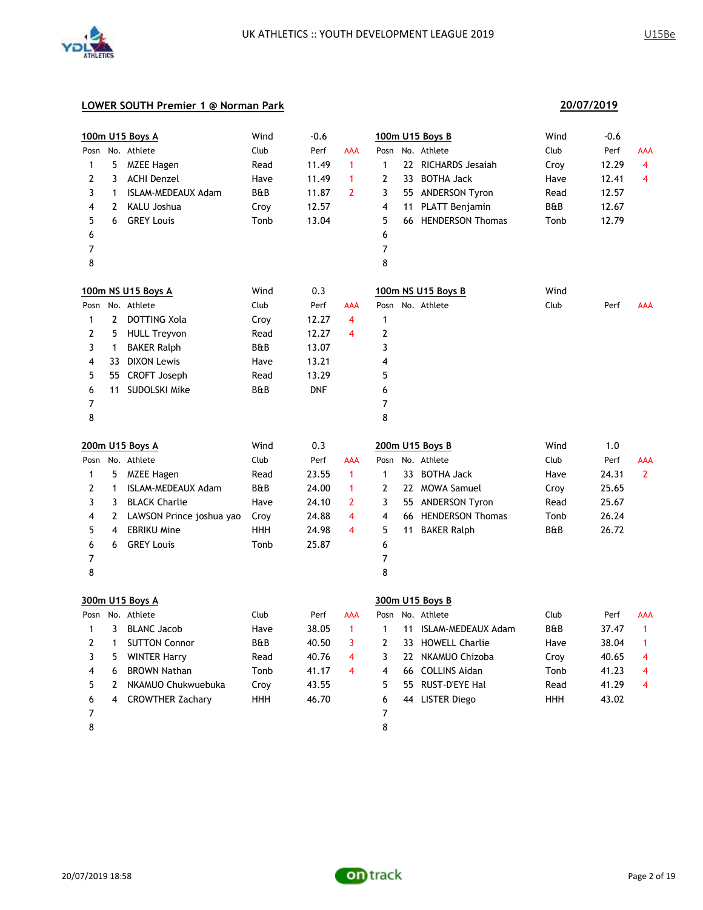

### **LOWER SOUTH Premier 1 @ Norman Park**

|                     |                | 100m U15 Boys A           | Wind           | $-0.6$     |                         |                         | 100m U15 Boys B       | Wind           | $-0.6$ |                |
|---------------------|----------------|---------------------------|----------------|------------|-------------------------|-------------------------|-----------------------|----------------|--------|----------------|
| Posn                |                | No. Athlete               | Club           | Perf       | AAA                     | Posn                    | No. Athlete           | Club           | Perf   | AAA            |
| 1                   | 5              | MZEE Hagen                | Read           | 11.49      | $\mathbf{1}$            | $\mathbf{1}$            | 22 RICHARDS Jesaiah   | Croy           | 12.29  | $\overline{4}$ |
| 2                   | 3              | <b>ACHI Denzel</b>        | Have           | 11.49      | $\mathbf{1}$            | $\overline{2}$          | 33 BOTHA Jack         | Have           | 12.41  | $\overline{4}$ |
| 3                   | $\mathbf{1}$   | <b>ISLAM-MEDEAUX Adam</b> | <b>B&amp;B</b> | 11.87      | $\overline{2}$          | 3                       | 55 ANDERSON Tyron     | Read           | 12.57  |                |
| 4                   | $\overline{2}$ | <b>KALU Joshua</b>        | Croy           | 12.57      |                         | $\overline{4}$          | 11 PLATT Benjamin     | B&B            | 12.67  |                |
| 5                   | 6              | <b>GREY Louis</b>         | Tonb           | 13.04      |                         | 5                       | 66 HENDERSON Thomas   | Tonb           | 12.79  |                |
| 6                   |                |                           |                |            |                         | 6                       |                       |                |        |                |
| 7                   |                |                           |                |            |                         | 7                       |                       |                |        |                |
| 8                   |                |                           |                |            |                         | 8                       |                       |                |        |                |
|                     |                | 100m NS U15 Boys A        | Wind           | 0.3        |                         |                         | 100m NS U15 Boys B    | Wind           |        |                |
| Posn                |                | No. Athlete               | Club           | Perf       | AAA                     |                         | Posn No. Athlete      | Club           | Perf   | <b>AAA</b>     |
| 1                   | $\mathbf{2}$   | DOTTING Xola              | Croy           | 12.27      | 4                       | $\mathbf{1}$            |                       |                |        |                |
| 2                   | 5.             | <b>HULL Treyvon</b>       | Read           | 12.27      | 4                       | $\mathbf{2}$            |                       |                |        |                |
| 3                   | $\mathbf{1}$   | <b>BAKER Ralph</b>        | B&B            | 13.07      |                         | 3                       |                       |                |        |                |
| 4                   |                | 33 DIXON Lewis            | Have           | 13.21      |                         | $\overline{4}$          |                       |                |        |                |
| 5                   |                | 55 CROFT Joseph           | Read           | 13.29      |                         | 5                       |                       |                |        |                |
| 6                   |                | 11 SUDOLSKI Mike          | B&B            | <b>DNF</b> |                         | 6                       |                       |                |        |                |
| 7                   |                |                           |                |            |                         | 7                       |                       |                |        |                |
| 8                   |                |                           |                |            |                         | 8                       |                       |                |        |                |
|                     |                |                           |                |            |                         |                         |                       |                |        |                |
|                     |                | 200m U15 Boys A           | Wind           | 0.3        |                         |                         | 200m U15 Boys B       | Wind           | 1.0    |                |
| Posn                |                | No. Athlete               | Club           | Perf       | <b>AAA</b>              | Posn                    | No. Athlete           | Club           | Perf   | <b>AAA</b>     |
| 1                   | 5              | <b>MZEE Hagen</b>         | Read           | 23.55      | $\mathbf{1}$            | $\mathbf{1}$            | 33 BOTHA Jack         | Have           | 24.31  | $\overline{2}$ |
| 2                   | $\mathbf{1}$   | <b>ISLAM-MEDEAUX Adam</b> | <b>B&amp;B</b> | 24.00      | $\mathbf{1}$            | $\overline{2}$          | 22 MOWA Samuel        | Croy           | 25.65  |                |
| 3                   | 3              | <b>BLACK Charlie</b>      | Have           | 24.10      | $\overline{2}$          | 3                       | 55 ANDERSON Tyron     | Read           | 25.67  |                |
| 4                   | 2              | LAWSON Prince joshua yao  | Croy           | 24.88      | 4                       | $\overline{\mathbf{4}}$ | 66 HENDERSON Thomas   | Tonb           | 26.24  |                |
| 5                   | 4              | <b>EBRIKU Mine</b>        | <b>HHH</b>     | 24.98      | $\overline{\mathbf{4}}$ | 5                       | 11 BAKER Ralph        | <b>B&amp;B</b> | 26.72  |                |
| 6                   | 6              | <b>GREY Louis</b>         | Tonb           | 25.87      |                         | 6                       |                       |                |        |                |
| 7                   |                |                           |                |            |                         | 7                       |                       |                |        |                |
| 8                   |                |                           |                |            |                         | 8                       |                       |                |        |                |
|                     |                | 300m U15 Boys A           |                |            |                         |                         | 300m U15 Boys B       |                |        |                |
| Posn                |                | No. Athlete               | Club           | Perf       | <b>AAA</b>              | Posn                    | No. Athlete           | Club           | Perf   | AAA            |
| 1                   | 3              | <b>BLANC Jacob</b>        | Have           | 38.05      | $\mathbf{1}$            | $\mathbf{1}$            | 11 ISLAM-MEDEAUX Adam | B&B            | 37.47  | 1              |
| 2                   | $\mathbf{1}$   | <b>SUTTON Connor</b>      | <b>B&amp;B</b> | 40.50      | 3                       | 2                       | 33 HOWELL Charlie     | Have           | 38.04  | $\mathbf{1}$   |
| 3                   | 5              | <b>WINTER Harry</b>       | Read           | 40.76      | 4                       | 3                       | 22 NKAMUO Chizoba     | Croy           | 40.65  | 4              |
| 4                   | 6              | <b>BROWN Nathan</b>       | Tonb           | 41.17      | 4                       | $\overline{4}$          | 66 COLLINS Aidan      | Tonb           | 41.23  | 4              |
| 5                   | 2              | NKAMUO Chukwuebuka        | Croy           | 43.55      |                         | 5                       | 55 RUST-D'EYE Hal     | Read           | 41.29  | 4              |
| 6<br>$\overline{7}$ | 4              | <b>CROWTHER Zachary</b>   | <b>HHH</b>     | 46.70      |                         | 6<br>$\overline{7}$     | 44 LISTER Diego       | <b>HHH</b>     | 43.02  |                |

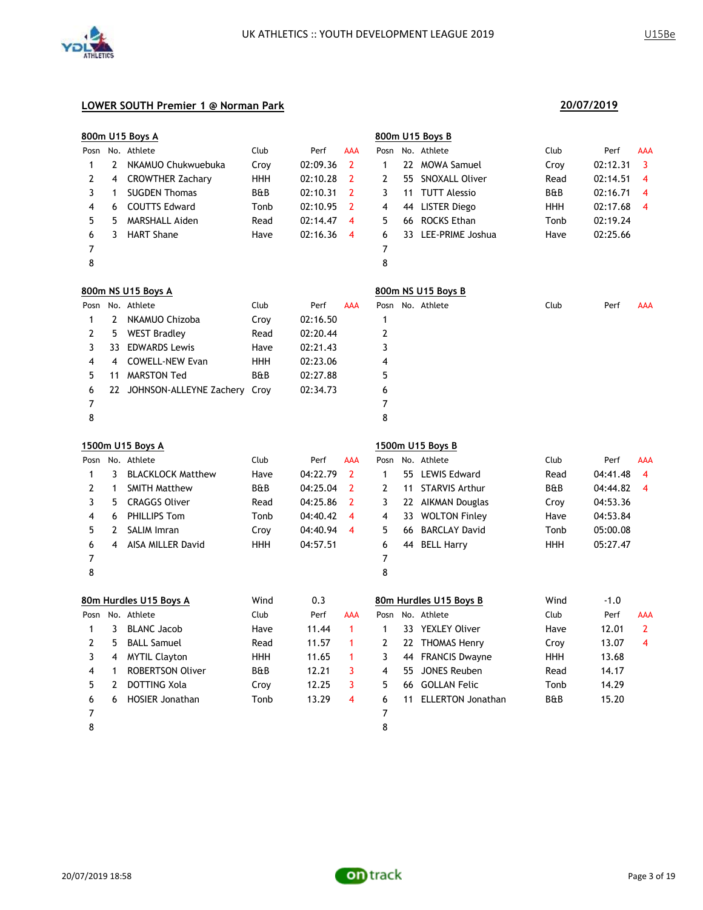

|      |    | 800m U15 Boys A                 |            |          |                     |      |    | 800m U15 Boys B        |      |          |                |
|------|----|---------------------------------|------------|----------|---------------------|------|----|------------------------|------|----------|----------------|
|      |    | Posn No. Athlete                | Club       | Perf     | <b>AAA</b>          | Posn |    | No. Athlete            | Club | Perf     | AAA            |
| 1    | 2  | NKAMUO Chukwuebuka              | Croy       | 02:09.36 | 2                   | 1    |    | 22 MOWA Samuel         | Croy | 02:12.31 | 3              |
| 2    | 4  | <b>CROWTHER Zachary</b>         | HHH        | 02:10.28 | 2                   | 2    |    | 55 SNOXALL Oliver      | Read | 02:14.51 | 4              |
| 3    | 1  | <b>SUGDEN Thomas</b>            | B&B        | 02:10.31 | 2                   | 3    | 11 | <b>TUTT Alessio</b>    | B&B  | 02:16.71 | 4              |
| 4    | 6  | <b>COUTTS Edward</b>            | Tonb       | 02:10.95 | 2                   | 4    |    | 44 LISTER Diego        | HHH  | 02:17.68 | 4              |
| 5    | 5  | <b>MARSHALL Aiden</b>           | Read       | 02:14.47 | $\overline{\bf{4}}$ | 5    | 66 | <b>ROCKS Ethan</b>     | Tonb | 02:19.24 |                |
| 6    | 3  | <b>HART Shane</b>               | Have       | 02:16.36 | $\overline{4}$      | 6    |    | 33 LEE-PRIME Joshua    | Have | 02:25.66 |                |
| 7    |    |                                 |            |          |                     | 7    |    |                        |      |          |                |
| 8    |    |                                 |            |          |                     | 8    |    |                        |      |          |                |
|      |    | 800m NS U15 Boys A              |            |          |                     |      |    | 800m NS U15 Boys B     |      |          |                |
|      |    | Posn No. Athlete                | Club       | Perf     | <b>AAA</b>          |      |    | Posn No. Athlete       | Club | Perf     | AAA            |
| 1    |    | 2 NKAMUO Chizoba                | Croy       | 02:16.50 |                     | 1    |    |                        |      |          |                |
| 2    |    | 5 WEST Bradley                  | Read       | 02:20.44 |                     | 2    |    |                        |      |          |                |
| 3    |    | 33 EDWARDS Lewis                | Have       | 02:21.43 |                     | 3    |    |                        |      |          |                |
| 4    | 4  | <b>COWELL-NEW Evan</b>          | HHH        | 02:23.06 |                     | 4    |    |                        |      |          |                |
| 5    | 11 | MARSTON Ted                     | B&B        | 02:27.88 |                     | 5    |    |                        |      |          |                |
| 6    |    | 22 JOHNSON-ALLEYNE Zachery Croy |            | 02:34.73 |                     | 6    |    |                        |      |          |                |
| 7    |    |                                 |            |          |                     | 7    |    |                        |      |          |                |
| 8    |    |                                 |            |          |                     | 8    |    |                        |      |          |                |
|      |    | 1500m U15 Boys A                |            |          |                     |      |    | 1500m U15 Boys B       |      |          |                |
| Posn |    | No. Athlete                     | Club       | Perf     | AAA                 | Posn |    | No. Athlete            | Club | Perf     | AAA            |
| 1    | 3  | <b>BLACKLOCK Matthew</b>        | Have       | 04:22.79 | 2                   | 1    |    | 55 LEWIS Edward        | Read | 04:41.48 | $\overline{4}$ |
| 2    | 1  | <b>SMITH Matthew</b>            | B&B        | 04:25.04 | 2                   | 2    | 11 | <b>STARVIS Arthur</b>  | B&B  | 04:44.82 | 4              |
| 3    | 5  | <b>CRAGGS Oliver</b>            | Read       | 04:25.86 | 2                   | 3    |    | 22 AIKMAN Douglas      | Croy | 04:53.36 |                |
| 4    | 6  | PHILLIPS Tom                    | Tonb       | 04:40.42 | 4                   | 4    |    | 33 WOLTON Finley       | Have | 04:53.84 |                |
| 5    | 2  | <b>SALIM Imran</b>              | Croy       | 04:40.94 | 4                   | 5    | 66 | <b>BARCLAY David</b>   | Tonb | 05:00.08 |                |
| 6    | 4  | AISA MILLER David               | <b>HHH</b> | 04:57.51 |                     | 6    |    | 44 BELL Harry          | HHH  | 05:27.47 |                |
| 7    |    |                                 |            |          |                     | 7    |    |                        |      |          |                |
| 8    |    |                                 |            |          |                     | 8    |    |                        |      |          |                |
|      |    | 80m Hurdles U15 Boys A          | Wind       | 0.3      |                     |      |    | 80m Hurdles U15 Boys B | Wind | $-1.0$   |                |
|      |    | Posn No. Athlete                | Club       | Perf     | AAA                 |      |    | Posn No. Athlete       | Club | Perf     | AAA            |
| 1    |    | 3 BLANC Jacob                   | Have       | 11.44    | $\mathbf{1}$        | 1    |    | 33 YEXLEY Oliver       | Have | 12.01    | $\overline{2}$ |
| 2    |    | 5 BALL Samuel                   | Read       | 11.57    | -1                  | 2    |    | 22 THOMAS Henry        | Croy | 13.07    | 4              |
| 3    | 4  | <b>MYTIL Clayton</b>            | <b>HHH</b> | 11.65    | 1                   | 3    |    | 44 FRANCIS Dwayne      | HHH  | 13.68    |                |
| 4    | 1  | <b>ROBERTSON Oliver</b>         | B&B        | 12.21    | 3                   | 4    |    | 55 JONES Reuben        | Read | 14.17    |                |
| 5    | 2  | DOTTING Xola                    | Croy       | 12.25    | 3                   | 5    |    | 66 GOLLAN Felic        | Tonb | 14.29    |                |
| 6    | 6  | <b>HOSIER Jonathan</b>          | Tonb       | 13.29    | 4                   | 6    |    | 11 ELLERTON Jonathan   | B&B  | 15.20    |                |
| 7    |    |                                 |            |          |                     | 7    |    |                        |      |          |                |
| 8    |    |                                 |            |          |                     | 8    |    |                        |      |          |                |

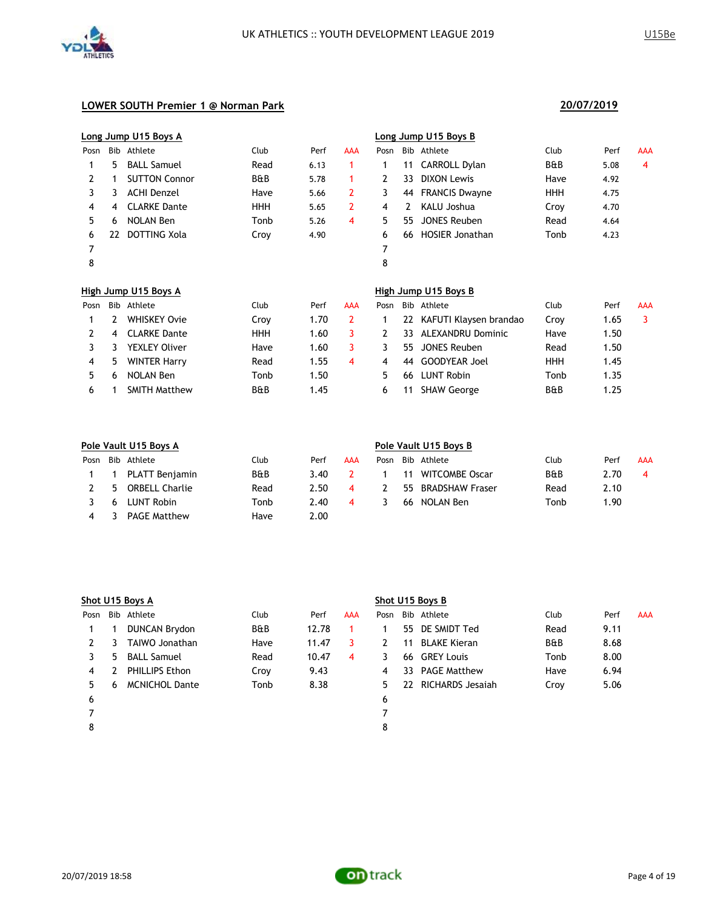

|      |     | Long Jump U15 Boys A |                |      |            |              |     | Long Jump U15 Boys B     |            |      |     |
|------|-----|----------------------|----------------|------|------------|--------------|-----|--------------------------|------------|------|-----|
| Posn | Bib | Athlete              | Club           | Perf | <b>AAA</b> | Posn         | Bib | Athlete                  | Club       | Perf | AAA |
|      | 5   | <b>BALL Samuel</b>   | Read           | 6.13 | 1          | 1            | 11  | CARROLL Dylan            | B&B        | 5.08 | 4   |
| 2    |     | <b>SUTTON Connor</b> | <b>B&amp;B</b> | 5.78 | 1          | $\mathbf{2}$ | 33  | <b>DIXON Lewis</b>       | Have       | 4.92 |     |
| 3    | 3   | <b>ACHI Denzel</b>   | Have           | 5.66 | 2          | 3            | 44  | <b>FRANCIS Dwayne</b>    | HHH        | 4.75 |     |
| 4    | 4   | <b>CLARKE Dante</b>  | <b>HHH</b>     | 5.65 | 2          | 4            | 2   | KALU Joshua              | Croy       | 4.70 |     |
| 5    | 6   | <b>NOLAN Ben</b>     | Tonb           | 5.26 | 4          | 5.           | 55  | <b>JONES Reuben</b>      | Read       | 4.64 |     |
| 6    | 22  | DOTTING Xola         | Croy           | 4.90 |            | 6            | 66  | <b>HOSIER Jonathan</b>   | Tonb       | 4.23 |     |
| 7    |     |                      |                |      |            | 7            |     |                          |            |      |     |
| 8    |     |                      |                |      |            | 8            |     |                          |            |      |     |
|      |     | High Jump U15 Boys A |                |      |            |              |     | High Jump U15 Boys B     |            |      |     |
| Posn | Bib | Athlete              | Club           | Perf | <b>AAA</b> | Posn         |     | Bib Athlete              | Club       | Perf | AAA |
|      | 2   | <b>WHISKEY Ovie</b>  | Croy           | 1.70 | 2          | 1            | 22  | KAFUTI Klaysen brandao   | Croy       | 1.65 | 3   |
| 2    | 4   | <b>CLARKE Dante</b>  | <b>HHH</b>     | 1.60 | 3          | 2            | 33. | <b>ALEXANDRU Dominic</b> | Have       | 1.50 |     |
| 3    | 3   | <b>YEXLEY Oliver</b> | Have           | 1.60 | 3          | 3            | 55  | <b>JONES Reuben</b>      | Read       | 1.50 |     |
| 4    | 5   | <b>WINTER Harry</b>  | Read           | 1.55 | 4          | 4            | 44  | <b>GOODYEAR Joel</b>     | <b>HHH</b> | 1.45 |     |
| 5    | 6   | <b>NOLAN Ben</b>     | Tonb           | 1.50 |            | 5.           | 66  | <b>LUNT Robin</b>        | Tonb       | 1.35 |     |
| 6    |     | <b>SMITH Matthew</b> | <b>B&amp;B</b> | 1.45 |            | 6            | 11  | <b>SHAW George</b>       | B&B        | 1.25 |     |

|      | Pole Vault U15 Boys A |                       |                |      |     |      | Pole Vault U15 Boys B |                        |      |      |     |  |
|------|-----------------------|-----------------------|----------------|------|-----|------|-----------------------|------------------------|------|------|-----|--|
| Posn |                       | Bib Athlete           | Club           | Perf | AAA | Posn |                       | Bib Athlete            | Club | Perf | AAA |  |
|      |                       | PLATT Benjamin        | <b>B&amp;B</b> | 3.40 |     |      | 11                    | <b>WITCOMBE Oscar</b>  | B&B  | 2.70 | 4   |  |
|      | 5                     | <b>ORBELL Charlie</b> | Read           | 2.50 | 4   |      | 55                    | <b>BRADSHAW Fraser</b> | Read | 2.10 |     |  |
|      | 6                     | LUNT Robin            | Tonb           | 2.40 | 4   |      | 66                    | NOLAN Ben              | Tonb | 1.90 |     |  |
| 4    |                       | <b>PAGE Matthew</b>   | Have           | 2.00 |     |      |                       |                        |      |      |     |  |

|      |    | Shot U15 Boys A       |                |       |            | Shot U15 Boys B |    |                     |                |      |            |
|------|----|-----------------------|----------------|-------|------------|-----------------|----|---------------------|----------------|------|------------|
| Posn |    | Bib Athlete           | Club           | Perf  | <b>AAA</b> | Posn            |    | Bib Athlete         | Club           | Perf | <b>AAA</b> |
|      |    | <b>DUNCAN Brydon</b>  | <b>B&amp;B</b> | 12.78 |            |                 | 55 | DE SMIDT Ted        | Read           | 9.11 |            |
| 2    | 3  | TAIWO Jonathan        | Have           | 11.47 | 3          |                 | 11 | <b>BLAKE Kieran</b> | <b>B&amp;B</b> | 8.68 |            |
|      | 5. | <b>BALL Samuel</b>    | Read           | 10.47 | 4          | 3               | 66 | <b>GREY Louis</b>   | Tonb           | 8.00 |            |
| 4    |    | PHILLIPS Ethon        | Croy           | 9.43  |            | 4               | 33 | <b>PAGE Matthew</b> | Have           | 6.94 |            |
| 5.   | 6  | <b>MCNICHOL Dante</b> | Tonb           | 8.38  |            | 5.              | 22 | RICHARDS Jesajah    | Croy           | 5.06 |            |
| 6    |    |                       |                |       |            | 6               |    |                     |                |      |            |
|      |    |                       |                |       |            |                 |    |                     |                |      |            |
| 8    |    |                       |                |       |            | 8               |    |                     |                |      |            |
|      |    |                       |                |       |            |                 |    |                     |                |      |            |

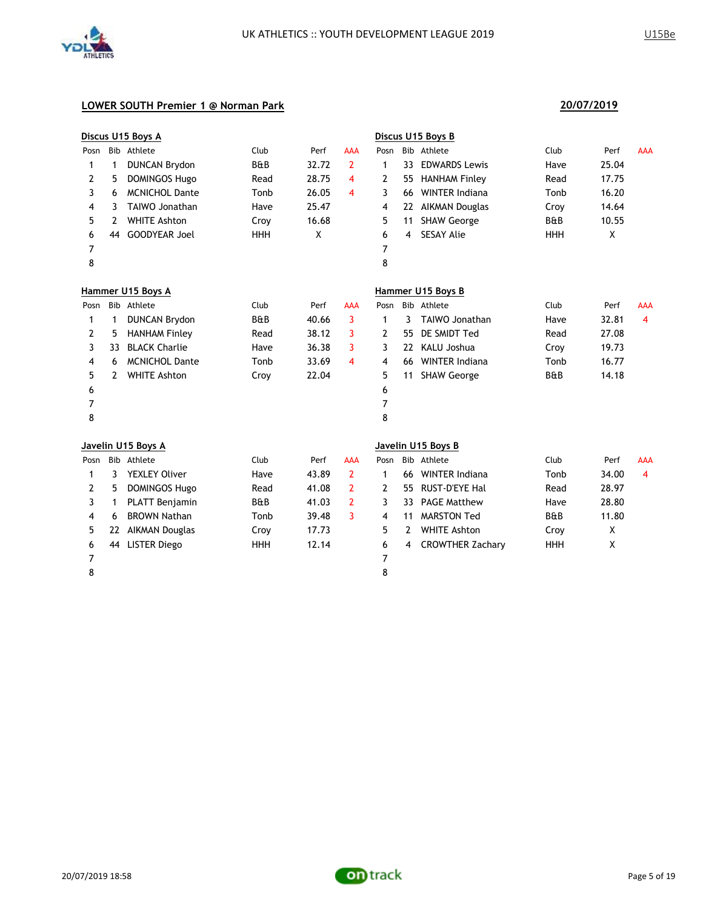

|      |              | Discus U15 Boys A     |                |       |                |              |    | Discus U15 Boys B       |                |       |            |
|------|--------------|-----------------------|----------------|-------|----------------|--------------|----|-------------------------|----------------|-------|------------|
| Posn |              | Bib Athlete           | Club           | Perf  | <b>AAA</b>     | Posn         |    | Bib Athlete             | Club           | Perf  | <b>AAA</b> |
| 1    | 1            | <b>DUNCAN Brydon</b>  | <b>B&amp;B</b> | 32.72 | $\overline{2}$ | 1            | 33 | <b>EDWARDS Lewis</b>    | Have           | 25.04 |            |
| 2    | 5            | <b>DOMINGOS Hugo</b>  | Read           | 28.75 | 4              | 2            | 55 | <b>HANHAM Finley</b>    | Read           | 17.75 |            |
| 3    | 6            | <b>MCNICHOL Dante</b> | Tonb           | 26.05 | 4              | 3            | 66 | <b>WINTER Indiana</b>   | Tonb           | 16.20 |            |
| 4    | 3            | TAIWO Jonathan        | Have           | 25.47 |                | 4            | 22 | <b>AIKMAN Douglas</b>   | Croy           | 14.64 |            |
| 5    | 2            | <b>WHITE Ashton</b>   | Croy           | 16.68 |                | 5            | 11 | <b>SHAW George</b>      | B&B            | 10.55 |            |
| 6    | 44           | <b>GOODYEAR Joel</b>  | <b>HHH</b>     | X     |                | 6            | 4  | <b>SESAY Alie</b>       | <b>HHH</b>     | X     |            |
| 7    |              |                       |                |       |                | 7            |    |                         |                |       |            |
| 8    |              |                       |                |       |                | 8            |    |                         |                |       |            |
|      |              | Hammer U15 Boys A     |                |       |                |              |    | Hammer U15 Boys B       |                |       |            |
| Posn |              | Bib Athlete           | Club           | Perf  | <b>AAA</b>     | Posn         |    | Bib Athlete             | Club           | Perf  | <b>AAA</b> |
| 1    | 1            | <b>DUNCAN Brydon</b>  | <b>B&amp;B</b> | 40.66 | 3              | $\mathbf{1}$ | 3  | <b>TAIWO Jonathan</b>   | Have           | 32.81 | 4          |
| 2    | 5            | <b>HANHAM Finley</b>  | Read           | 38.12 | 3              | 2            | 55 | DE SMIDT Ted            | Read           | 27.08 |            |
| 3    | 33           | <b>BLACK Charlie</b>  | Have           | 36.38 | 3              | 3            | 22 | KALU Joshua             | Croy           | 19.73 |            |
| 4    | 6            | <b>MCNICHOL Dante</b> | Tonb           | 33.69 | 4              | 4            | 66 | <b>WINTER Indiana</b>   | Tonb           | 16.77 |            |
| 5    | 2            | <b>WHITE Ashton</b>   | Croy           | 22.04 |                | 5            | 11 | <b>SHAW George</b>      | <b>B&amp;B</b> | 14.18 |            |
| 6    |              |                       |                |       |                | 6            |    |                         |                |       |            |
| 7    |              |                       |                |       |                | 7            |    |                         |                |       |            |
| 8    |              |                       |                |       |                | 8            |    |                         |                |       |            |
|      |              | Javelin U15 Boys A    |                |       |                |              |    | Javelin U15 Boys B      |                |       |            |
| Posn |              | Bib Athlete           | Club           | Perf  | AAA            | Posn         |    | Bib Athlete             | Club           | Perf  | AAA        |
| 1    | 3            | <b>YEXLEY Oliver</b>  | Have           | 43.89 | $\overline{2}$ | $\mathbf{1}$ | 66 | <b>WINTER Indiana</b>   | Tonb           | 34.00 | 4          |
| 2    | 5            | <b>DOMINGOS Hugo</b>  | Read           | 41.08 | $\overline{2}$ | 2            | 55 | <b>RUST-D'EYE Hal</b>   | Read           | 28.97 |            |
| 3    | $\mathbf{1}$ | <b>PLATT Benjamin</b> | B&B            | 41.03 | $\overline{2}$ | 3            | 33 | <b>PAGE Matthew</b>     | Have           | 28.80 |            |
| 4    | 6            | <b>BROWN Nathan</b>   | Tonb           | 39.48 | 3              | 4            | 11 | <b>MARSTON Ted</b>      | <b>B&amp;B</b> | 11.80 |            |
| 5    |              | 22 AIKMAN Douglas     | Croy           | 17.73 |                | 5            | 2  | <b>WHITE Ashton</b>     | Croy           | X     |            |
| 6    |              | 44 LISTER Diego       | <b>HHH</b>     | 12.14 |                | 6            | 4  | <b>CROWTHER Zachary</b> | HHH            | X     |            |
| 7    |              |                       |                |       |                | 7            |    |                         |                |       |            |
| 8    |              |                       |                |       |                | 8            |    |                         |                |       |            |

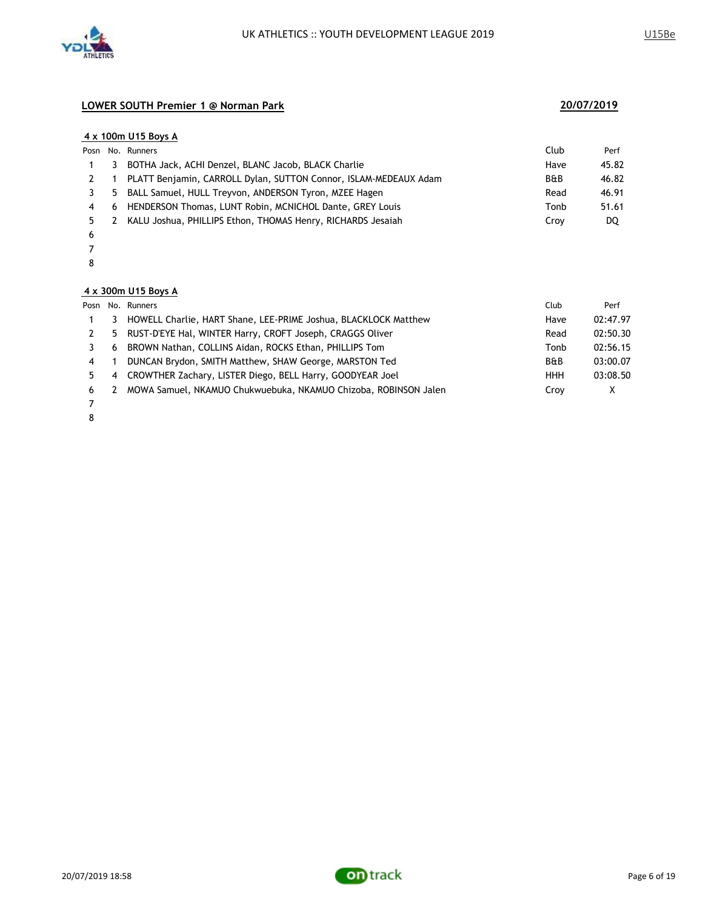

### **4 x 100m U15 Boys A**

|   |   | Posn No. Runners                                                 | Club | Perf  |
|---|---|------------------------------------------------------------------|------|-------|
|   | 3 | BOTHA Jack, ACHI Denzel, BLANC Jacob, BLACK Charlie              | Have | 45.82 |
|   |   | PLATT Benjamin, CARROLL Dylan, SUTTON Connor, ISLAM-MEDEAUX Adam | B&B  | 46.82 |
|   |   | 5 BALL Samuel, HULL Treyvon, ANDERSON Tyron, MZEE Hagen          | Read | 46.91 |
|   |   | 6 HENDERSON Thomas, LUNT Robin, MCNICHOL Dante, GREY Louis       | Tonb | 51.61 |
|   | 2 | KALU Joshua, PHILLIPS Ethon, THOMAS Henry, RICHARDS Jesaiah      | Crov | DQ    |
| 6 |   |                                                                  |      |       |

- 
- 

### **4 x 300m U15 Boys A**

|                |    | Posn No. Runners                                                | Club           | Perf     |
|----------------|----|-----------------------------------------------------------------|----------------|----------|
|                | 3  | HOWELL Charlie, HART Shane, LEE-PRIME Joshua, BLACKLOCK Matthew | Have           | 02:47.97 |
|                | 5. | RUST-D'EYE Hal, WINTER Harry, CROFT Joseph, CRAGGS Oliver       | Read           | 02:50.30 |
|                | 6  | BROWN Nathan, COLLINS Aidan, ROCKS Ethan, PHILLIPS Tom          | Tonb           | 02:56.15 |
| $\overline{4}$ |    | DUNCAN Brydon, SMITH Matthew, SHAW George, MARSTON Ted          | <b>B&amp;B</b> | 03:00.07 |
|                | 4  | CROWTHER Zachary, LISTER Diego, BELL Harry, GOODYEAR Joel       | <b>HHH</b>     | 03:08.50 |
| 6              | 2  | MOWA Samuel, NKAMUO Chukwuebuka, NKAMUO Chizoba, ROBINSON Jalen | Croy           | X        |
|                |    |                                                                 |                |          |

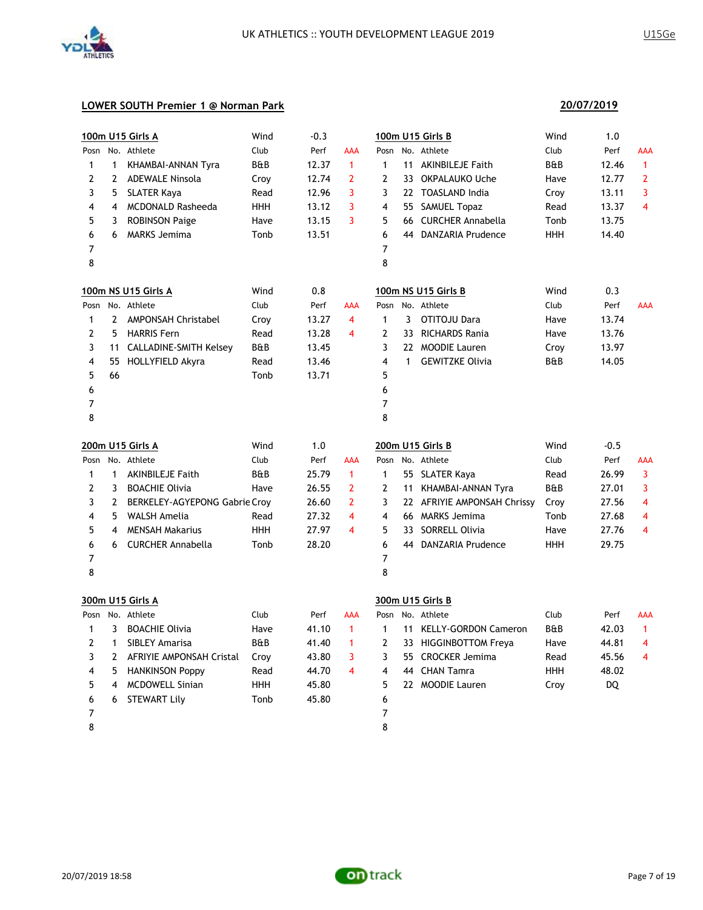

### **LOWER SOUTH Premier 1 @ Norman Park**

|                |                | 100m U15 Girls A              | Wind           | $-0.3$ |                |                         |              | 100m U15 Girls B            | Wind           | 1.0    |                         |
|----------------|----------------|-------------------------------|----------------|--------|----------------|-------------------------|--------------|-----------------------------|----------------|--------|-------------------------|
| Posn           |                | No. Athlete                   | Club           | Perf   | AAA            | Posn                    |              | No. Athlete                 | Club           | Perf   | AAA                     |
| $\mathbf{1}$   | $\mathbf{1}$   | KHAMBAI-ANNAN Tyra            | <b>B&amp;B</b> | 12.37  | $\mathbf{1}$   | $\mathbf{1}$            |              | 11 AKINBILEJE Faith         | <b>B&amp;B</b> | 12.46  | $\mathbf{1}$            |
| 2              | $\overline{2}$ | <b>ADEWALE Ninsola</b>        | Croy           | 12.74  | $\overline{2}$ | $\mathbf{2}$            |              | 33 OKPALAUKO Uche           | Have           | 12.77  | $\overline{2}$          |
| 3              | 5              | <b>SLATER Kaya</b>            | Read           | 12.96  | 3              | 3                       |              | 22 TOASLAND India           | Croy           | 13.11  | 3                       |
| 4              | 4              | <b>MCDONALD Rasheeda</b>      | <b>HHH</b>     | 13.12  | 3              | 4                       |              | 55 SAMUEL Topaz             | Read           | 13.37  | $\overline{\mathbf{4}}$ |
| 5              | 3              | <b>ROBINSON Paige</b>         | Have           | 13.15  | 3              | 5                       |              | 66 CURCHER Annabella        | Tonb           | 13.75  |                         |
| 6              | 6              | <b>MARKS Jemima</b>           | Tonb           | 13.51  |                | 6                       |              | 44 DANZARIA Prudence        | <b>HHH</b>     | 14.40  |                         |
| 7              |                |                               |                |        |                | $\overline{7}$          |              |                             |                |        |                         |
| 8              |                |                               |                |        |                | 8                       |              |                             |                |        |                         |
|                |                | 100m NS U15 Girls A           | Wind           | 0.8    |                |                         |              | 100m NS U15 Girls B         | Wind           | 0.3    |                         |
| Posn           |                | No. Athlete                   | Club           | Perf   | AAA            | Posn                    |              | No. Athlete                 | Club           | Perf   | <b>AAA</b>              |
| 1              |                | 2 AMPONSAH Christabel         | Croy           | 13.27  | 4              | $\mathbf{1}$            | $\mathbf{3}$ | OTITOJU Dara                | Have           | 13.74  |                         |
| 2              | 5.             | <b>HARRIS Fern</b>            | Read           | 13.28  | 4              | $\mathbf{2}$            |              | 33 RICHARDS Rania           | Have           | 13.76  |                         |
| 3              |                | 11 CALLADINE-SMITH Kelsey     | B&B            | 13.45  |                | 3                       |              | 22 MOODIE Lauren            | Croy           | 13.97  |                         |
| 4              |                | 55 HOLLYFIELD Akyra           | Read           | 13.46  |                | $\overline{\mathbf{4}}$ | $\mathbf{1}$ | <b>GEWITZKE Olivia</b>      | B&B            | 14.05  |                         |
| 5              | 66             |                               | Tonb           | 13.71  |                | 5                       |              |                             |                |        |                         |
| 6              |                |                               |                |        |                | 6                       |              |                             |                |        |                         |
| 7              |                |                               |                |        |                | $\overline{7}$          |              |                             |                |        |                         |
| 8              |                |                               |                |        |                | 8                       |              |                             |                |        |                         |
|                |                | <b>200m U15 Girls A</b>       | Wind           | 1.0    |                |                         |              | 200m U15 Girls B            | Wind           | $-0.5$ |                         |
| Posn           |                | No. Athlete                   | Club           | Perf   | AAA            |                         |              | Posn No. Athlete            | Club           | Perf   | AAA                     |
| $\mathbf{1}$   | $\mathbf{1}$   | <b>AKINBILEJE Faith</b>       | <b>B&amp;B</b> | 25.79  | $\mathbf{1}$   | $\mathbf{1}$            |              | 55 SLATER Kaya              | Read           | 26.99  | 3                       |
| $\overline{2}$ | 3              | <b>BOACHIE Olivia</b>         | Have           | 26.55  | $\overline{2}$ | $\mathbf{2}$            |              | 11 KHAMBAI-ANNAN Tyra       | B&B            | 27.01  | 3                       |
| 3              |                |                               |                |        |                |                         |              |                             |                |        |                         |
|                | $\mathbf{2}$   | BERKELEY-AGYEPONG Gabrie Croy |                | 26.60  | $\overline{2}$ | 3                       |              | 22 AFRIYIE AMPONSAH Chrissy | Croy           | 27.56  | 4                       |
| 4              | 5              | <b>WALSH Amelia</b>           | Read           | 27.32  | 4              | $\overline{\mathbf{4}}$ |              | 66 MARKS Jemima             | Tonb           | 27.68  | 4                       |
| 5              | 4              | <b>MENSAH Makarius</b>        | <b>HHH</b>     | 27.97  | 4              | 5                       |              | 33 SORRELL Olivia           | Have           | 27.76  | 4                       |
| 6              | 6              | <b>CURCHER Annabella</b>      | Tonb           | 28.20  |                | 6                       |              | 44 DANZARIA Prudence        | <b>HHH</b>     | 29.75  |                         |
| 7              |                |                               |                |        |                | 7                       |              |                             |                |        |                         |
| 8              |                |                               |                |        |                | 8                       |              |                             |                |        |                         |
|                |                | 300m U15 Girls A              |                |        |                |                         |              | 300m U15 Girls B            |                |        |                         |
| Posn           |                | No. Athlete                   | Club           | Perf   | AAA            | Posn                    |              | No. Athlete                 | Club           | Perf   | <b>AAA</b>              |
| 1              | 3              | <b>BOACHIE Olivia</b>         | Have           | 41.10  | $\mathbf{1}$   | 1                       | 11           | <b>KELLY-GORDON Cameron</b> | B&B            | 42.03  | $\mathbf{1}$            |
| 2              | $\mathbf{1}$   | SIBLEY Amarisa                | B&B            | 41.40  | $\mathbf{1}$   | $\mathbf{2}$            |              | 33 HIGGINBOTTOM Freya       | Have           | 44.81  | 4                       |
| 3              | $\mathbf{2}$   | AFRIYIE AMPONSAH Cristal      | Croy           | 43.80  | 3              | 3                       |              | 55 CROCKER Jemima           | Read           | 45.56  | 4                       |
| 4              | 5              | <b>HANKINSON Poppy</b>        | Read           | 44.70  | 4              | $\overline{\mathbf{4}}$ |              | 44 CHAN Tamra               | <b>HHH</b>     | 48.02  |                         |
| 5              | 4              | <b>MCDOWELL Sinian</b>        | <b>HHH</b>     | 45.80  |                | 5                       |              | 22 MOODIE Lauren            | Croy           | DQ     |                         |
| 6              | 6              | <b>STEWART Lily</b>           | Tonb           | 45.80  |                | 6<br>$\overline{7}$     |              |                             |                |        |                         |

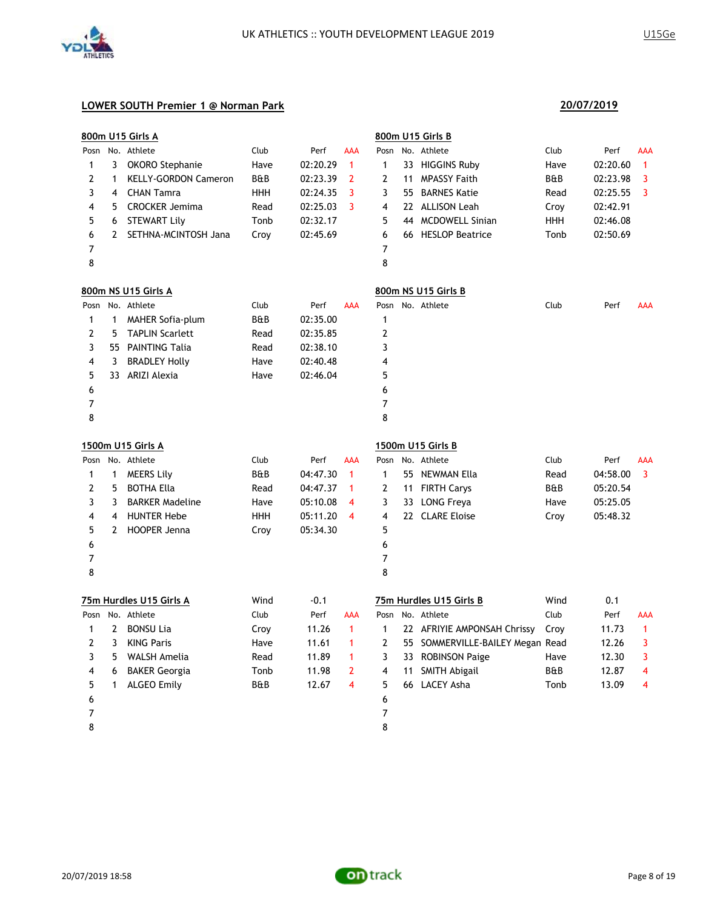

|      |              | 800m U15 Girls A            |            |          |              |              |    | 800m U15 Girls B                 |            |          |              |
|------|--------------|-----------------------------|------------|----------|--------------|--------------|----|----------------------------------|------------|----------|--------------|
|      |              | Posn No. Athlete            | Club       | Perf     | AAA          | Posn         |    | No. Athlete                      | Club       | Perf     | AAA          |
| 1    | 3            | OKORO Stephanie             | Have       | 02:20.29 | 1            | 1            |    | 33 HIGGINS Ruby                  | Have       | 02:20.60 | 1            |
| 2    | 1            | <b>KELLY-GORDON Cameron</b> | B&B        | 02:23.39 | 2            | 2            | 11 | <b>MPASSY Faith</b>              | B&B        | 02:23.98 | 3            |
| 3    | 4            | <b>CHAN Tamra</b>           | <b>HHH</b> | 02:24.35 | 3            | 3            | 55 | <b>BARNES Katie</b>              | Read       | 02:25.55 | 3            |
| 4    | 5            | <b>CROCKER Jemima</b>       | Read       | 02:25.03 | 3            | 4            |    | 22 ALLISON Leah                  | Croy       | 02:42.91 |              |
| 5    | 6            | <b>STEWART Lily</b>         | Tonb       | 02:32.17 |              | 5            | 44 | <b>MCDOWELL Sinian</b>           | <b>HHH</b> | 02:46.08 |              |
| 6    |              | 2 SETHNA-MCINTOSH Jana      | Croy       | 02:45.69 |              | 6            |    | 66 HESLOP Beatrice               | Tonb       | 02:50.69 |              |
| 7    |              |                             |            |          |              | 7            |    |                                  |            |          |              |
| 8    |              |                             |            |          |              | 8            |    |                                  |            |          |              |
|      |              | 800m NS U15 Girls A         |            |          |              |              |    | 800m NS U15 Girls B              |            |          |              |
|      |              | Posn No. Athlete            | Club       | Perf     | AAA          |              |    | Posn No. Athlete                 | Club       | Perf     | AAA          |
| 1    | 1            | <b>MAHER Sofia-plum</b>     | B&B        | 02:35.00 |              | 1            |    |                                  |            |          |              |
| 2    | 5            | <b>TAPLIN Scarlett</b>      | Read       | 02:35.85 |              | 2            |    |                                  |            |          |              |
| 3    |              | 55 PAINTING Talia           | Read       | 02:38.10 |              | 3            |    |                                  |            |          |              |
| 4    | 3            | <b>BRADLEY Holly</b>        | Have       | 02:40.48 |              | 4            |    |                                  |            |          |              |
| 5    |              | 33 ARIZI Alexia             | Have       | 02:46.04 |              | 5            |    |                                  |            |          |              |
| 6    |              |                             |            |          |              | 6            |    |                                  |            |          |              |
| 7    |              |                             |            |          |              | 7            |    |                                  |            |          |              |
| 8    |              |                             |            |          |              | 8            |    |                                  |            |          |              |
|      |              | 1500m U15 Girls A           |            |          |              |              |    | 1500m U15 Girls B                |            |          |              |
| Posn |              | No. Athlete                 | Club       | Perf     | AAA          |              |    | Posn No. Athlete                 | Club       | Perf     | <b>AAA</b>   |
| 1    | 1            | <b>MEERS Lily</b>           | B&B        | 04:47.30 | 1            | 1            |    | 55 NEWMAN Ella                   | Read       | 04:58.00 | 3            |
| 2    | 5            | <b>BOTHA Ella</b>           | Read       | 04:47.37 | 1            | 2            |    | 11 FIRTH Carys                   | B&B        | 05:20.54 |              |
| 3    | 3            | <b>BARKER Madeline</b>      | Have       | 05:10.08 | 4            | 3            |    | 33 LONG Freya                    | Have       | 05:25.05 |              |
| 4    | 4            | <b>HUNTER Hebe</b>          | <b>HHH</b> | 05:11.20 | 4            | 4            |    | 22 CLARE Eloise                  | Croy       | 05:48.32 |              |
| 5    | 2            | <b>HOOPER Jenna</b>         | Croy       | 05:34.30 |              | 5            |    |                                  |            |          |              |
| 6    |              |                             |            |          |              | 6            |    |                                  |            |          |              |
| 7    |              |                             |            |          |              | 7            |    |                                  |            |          |              |
| 8    |              |                             |            |          |              | 8            |    |                                  |            |          |              |
|      |              | 75m Hurdles U15 Girls A     | Wind       | $-0.1$   |              |              |    | 75m Hurdles U15 Girls B          | Wind       | 0.1      |              |
| Posn |              | No. Athlete                 | Club       | Perf     | AAA          | Posn         |    | No. Athlete                      | Club       | Perf     | <b>AAA</b>   |
| 1    | $\mathbf{2}$ | <b>BONSU Lia</b>            | Croy       | 11.26    | $\mathbf{1}$ | 1            |    | 22 AFRIYIE AMPONSAH Chrissy      | Croy       | 11.73    | $\mathbf{1}$ |
| 2    |              | 3 KING Paris                | Have       | 11.61    | -1           | $\mathbf{2}$ |    | 55 SOMMERVILLE-BAILEY Megan Read |            | 12.26    | 3            |
| 3    | 5            | WALSH Amelia                | Read       | 11.89    | 1            | 3            |    | 33 ROBINSON Paige                | Have       | 12.30    | 3            |
| 4    | 6            | <b>BAKER Georgia</b>        | Tonb       | 11.98    | 2            | 4            | 11 | <b>SMITH Abigail</b>             | B&B        | 12.87    | 4            |
| 5    | 1            | <b>ALGEO Emily</b>          | B&B        | 12.67    | 4            | 5            |    | 66 LACEY Asha                    | Tonb       | 13.09    | 4            |
| 6    |              |                             |            |          |              | 6            |    |                                  |            |          |              |
| 7    |              |                             |            |          |              | 7            |    |                                  |            |          |              |
| 8    |              |                             |            |          |              | 8            |    |                                  |            |          |              |

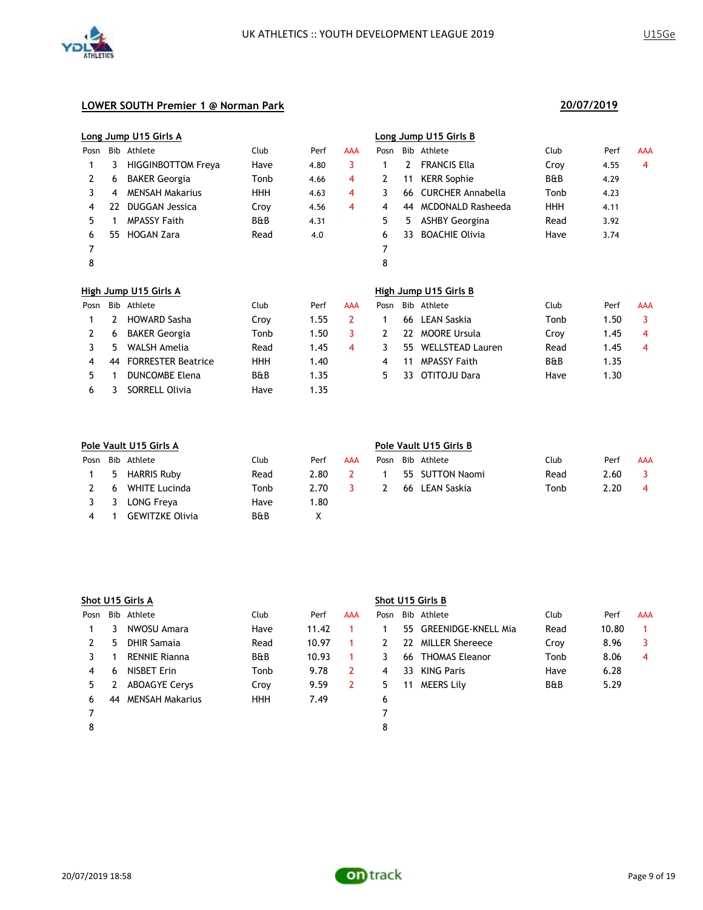

|      |     | Long Jump U15 Girls A     |                |      |            |              |     | Long Jump U15 Girls B    |                |      |            |
|------|-----|---------------------------|----------------|------|------------|--------------|-----|--------------------------|----------------|------|------------|
| Posn | Bib | Athlete                   | Club           | Perf | AAA        | Posn         | Bib | Athlete                  | Club           | Perf | <b>AAA</b> |
|      | 3   | <b>HIGGINBOTTOM Freya</b> | Have           | 4.80 | 3          | 1            | 2   | <b>FRANCIS Ella</b>      | Croy           | 4.55 | 4          |
| 2    | 6   | <b>BAKER Georgia</b>      | Tonb           | 4.66 | 4          | 2            | 11  | <b>KERR Sophie</b>       | <b>B&amp;B</b> | 4.29 |            |
| 3    | 4   | <b>MENSAH Makarius</b>    | <b>HHH</b>     | 4.63 | 4          | 3            | 66  | <b>CURCHER Annabella</b> | Tonb           | 4.23 |            |
| 4    | 22  | <b>DUGGAN Jessica</b>     | Croy           | 4.56 | 4          | 4            | 44  | <b>MCDONALD Rasheeda</b> | <b>HHH</b>     | 4.11 |            |
| 5.   | 1   | <b>MPASSY Faith</b>       | <b>B&amp;B</b> | 4.31 |            | 5.           | 5.  | <b>ASHBY Georgina</b>    | Read           | 3.92 |            |
| 6    | 55. | <b>HOGAN Zara</b>         | Read           | 4.0  |            | 6            | 33. | <b>BOACHIE Olivia</b>    | Have           | 3.74 |            |
| 7    |     |                           |                |      |            | 7            |     |                          |                |      |            |
| 8    |     |                           |                |      |            | 8            |     |                          |                |      |            |
|      |     | High Jump U15 Girls A     |                |      |            |              |     | High Jump U15 Girls B    |                |      |            |
| Posn | Bib | Athlete                   | Club           | Perf | <b>AAA</b> | Posn         |     | Bib Athlete              | Club           | Perf | <b>AAA</b> |
|      | 2   | <b>HOWARD Sasha</b>       | Croy           | 1.55 | 2          | 1            | 66  | <b>LEAN Saskia</b>       | Tonb           | 1.50 | 3          |
| 2    | 6   | <b>BAKER Georgia</b>      | Tonb           | 1.50 | 3          | $\mathbf{2}$ | 22  | <b>MOORE Ursula</b>      | Croy           | 1.45 | 4          |
| 3    | 5   | <b>WALSH Amelia</b>       | Read           | 1.45 | 4          | 3            | 55. | <b>WELLSTEAD Lauren</b>  | Read           | 1.45 | 4          |
| 4    | 44  | <b>FORRESTER Beatrice</b> | <b>HHH</b>     | 1.40 |            | 4            | 11  | <b>MPASSY Faith</b>      | <b>B&amp;B</b> | 1.35 |            |
| 5    |     | <b>DUNCOMBE Elena</b>     | <b>B&amp;B</b> | 1.35 |            | 5.           | 33. | OTITOJU Dara             | Have           | 1.30 |            |
| 6    | 3   | <b>SORRELL Olivia</b>     | Have           | 1.35 |            |              |     |                          |                |      |            |

|      |    | Pole Vault U15 Girls A | Pole Vault U15 Girls B |      |     |      |  |                 |      |      |     |
|------|----|------------------------|------------------------|------|-----|------|--|-----------------|------|------|-----|
| Posn |    | Bib Athlete            | Club                   | Perf | AAA | Posn |  | Bib Athlete     | Club | Perf | AAA |
|      | -5 | <b>HARRIS Ruby</b>     | Read                   | 2.80 |     |      |  | 55 SUTTON Naomi | Read | 2.60 |     |
|      | 6  | WHITE Lucinda          | Tonb                   | 2.70 |     |      |  | 66 LEAN Saskia  | Tonb | 2.20 | 4   |
|      | -3 | LONG Freya             | Have                   | 1.80 |     |      |  |                 |      |      |     |
| 4    |    | <b>GEWITZKE Olivia</b> | <b>B&amp;B</b>         |      |     |      |  |                 |      |      |     |

|      | Shot U15 Girls A |                      |                |       |            | Shot U15 Girls B |    |                        |                |       |            |  |
|------|------------------|----------------------|----------------|-------|------------|------------------|----|------------------------|----------------|-------|------------|--|
| Posn |                  | Bib Athlete          | Club           | Perf  | <b>AAA</b> | Posn             |    | Bib Athlete            | Club           | Perf  | <b>AAA</b> |  |
|      |                  | NWOSU Amara          | Have           | 11.42 |            |                  |    | 55 GREENIDGE-KNELL Mia | Read           | 10.80 |            |  |
|      | 5.               | DHIR Samaja          | Read           | 10.97 |            |                  | 22 | MILLER Shereece        | Croy           | 8.96  | 3          |  |
|      |                  | <b>RENNIE Rianna</b> | <b>B&amp;B</b> | 10.93 |            |                  |    | 66 THOMAS Eleanor      | Tonb           | 8.06  | 4          |  |
| 4    | 6                | NISBET Erin          | Tonb           | 9.78  | 2          | 4                | 33 | <b>KING Paris</b>      | Have           | 6.28  |            |  |
| 5.   |                  | <b>ABOAGYE Cervs</b> | Croy           | 9.59  | 2          | 5                | 11 | MEERS Lily             | <b>B&amp;B</b> | 5.29  |            |  |
| 6    | 44               | MENSAH Makarius      | <b>HHH</b>     | 7.49  |            | 6                |    |                        |                |       |            |  |
|      |                  |                      |                |       |            |                  |    |                        |                |       |            |  |
| 8    |                  |                      |                |       |            | 8                |    |                        |                |       |            |  |

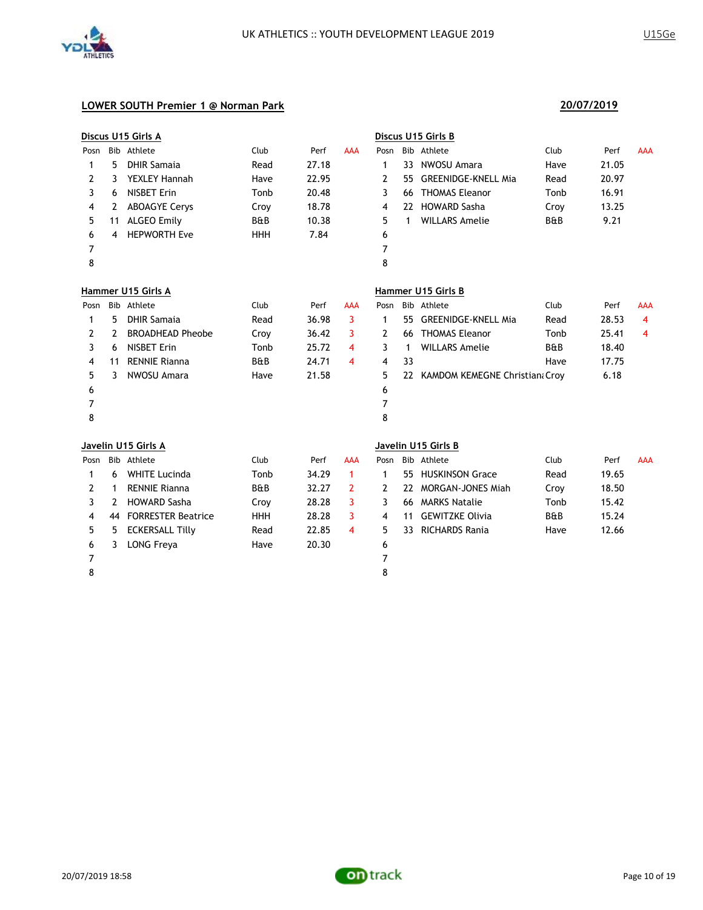

|      |    | Discus U15 Girls A        |            |       |              |                |              | Discus U15 Girls B               |                |       |            |
|------|----|---------------------------|------------|-------|--------------|----------------|--------------|----------------------------------|----------------|-------|------------|
| Posn |    | Bib Athlete               | Club       | Perf  | <b>AAA</b>   | Posn           |              | Bib Athlete                      | Club           | Perf  | <b>AAA</b> |
| 1    | 5  | <b>DHIR Samaia</b>        | Read       | 27.18 |              | 1              |              | 33 NWOSU Amara                   | Have           | 21.05 |            |
| 2    | 3  | <b>YEXLEY Hannah</b>      | Have       | 22.95 |              | 2              | 55.          | <b>GREENIDGE-KNELL Mia</b>       | Read           | 20.97 |            |
| 3    | 6  | <b>NISBET Erin</b>        | Tonb       | 20.48 |              | 3              | 66           | <b>THOMAS Eleanor</b>            | Tonb           | 16.91 |            |
| 4    | 2  | <b>ABOAGYE Cerys</b>      | Croy       | 18.78 |              | 4              |              | 22 HOWARD Sasha                  | Croy           | 13.25 |            |
| 5    | 11 | <b>ALGEO Emily</b>        | B&B        | 10.38 |              | 5              | $\mathbf{1}$ | <b>WILLARS Amelie</b>            | B&B            | 9.21  |            |
| 6    | 4  | <b>HEPWORTH Eve</b>       | <b>HHH</b> | 7.84  |              | 6              |              |                                  |                |       |            |
| 7    |    |                           |            |       |              | $\overline{7}$ |              |                                  |                |       |            |
| 8    |    |                           |            |       |              | 8              |              |                                  |                |       |            |
|      |    | Hammer U15 Girls A        |            |       |              |                |              | Hammer U15 Girls B               |                |       |            |
|      |    | Posn Bib Athlete          | Club       | Perf  | AAA          | Posn           |              | Bib Athlete                      | Club           | Perf  | <b>AAA</b> |
| 1    | 5. | <b>DHIR Samaia</b>        | Read       | 36.98 | 3            | 1              | 55           | <b>GREENIDGE-KNELL Mia</b>       | Read           | 28.53 | 4          |
| 2    | 2  | <b>BROADHEAD Pheobe</b>   | Croy       | 36.42 | 3            | 2              | 66           | <b>THOMAS Eleanor</b>            | Tonb           | 25.41 | 4          |
| 3    | 6  | <b>NISBET Erin</b>        | Tonb       | 25.72 | 4            | 3              | $\mathbf{1}$ | <b>WILLARS Amelie</b>            | <b>B&amp;B</b> | 18.40 |            |
| 4    | 11 | <b>RENNIE Rianna</b>      | B&B        | 24.71 | 4            | 4              | 33           |                                  | Have           | 17.75 |            |
| 5    | 3  | NWOSU Amara               | Have       | 21.58 |              | 5              |              | 22 KAMDOM KEMEGNE Christian Croy |                | 6.18  |            |
| 6    |    |                           |            |       |              | 6              |              |                                  |                |       |            |
| 7    |    |                           |            |       |              | $\overline{7}$ |              |                                  |                |       |            |
| 8    |    |                           |            |       |              | 8              |              |                                  |                |       |            |
|      |    | Javelin U15 Girls A       |            |       |              |                |              | Javelin U15 Girls B              |                |       |            |
| Posn |    | Bib Athlete               | Club       | Perf  | <b>AAA</b>   | Posn           |              | Bib Athlete                      | Club           | Perf  | <b>AAA</b> |
| 1    | 6  | <b>WHITE Lucinda</b>      | Tonb       | 34.29 | $\mathbf{1}$ | 1              |              | 55 HUSKINSON Grace               | Read           | 19.65 |            |
| 2    | 1  | <b>RENNIE Rianna</b>      | B&B        | 32.27 | 2            | 2              | 22           | <b>MORGAN-JONES Miah</b>         | Croy           | 18.50 |            |
| 3    | 2  | <b>HOWARD Sasha</b>       | Croy       | 28.28 | 3            | 3              |              | 66 MARKS Natalie                 | Tonb           | 15.42 |            |
| 4    | 44 | <b>FORRESTER Beatrice</b> | <b>HHH</b> | 28.28 | 3            | 4              | 11           | <b>GEWITZKE Olivia</b>           | B&B            | 15.24 |            |
| 5    | 5. | <b>ECKERSALL Tilly</b>    | Read       | 22.85 | 4            | 5              | 33           | <b>RICHARDS Rania</b>            | Have           | 12.66 |            |
| 6    | 3  | <b>LONG Freya</b>         | Have       | 20.30 |              | 6              |              |                                  |                |       |            |
| 7    |    |                           |            |       |              | 7              |              |                                  |                |       |            |
| 8    |    |                           |            |       |              | 8              |              |                                  |                |       |            |
|      |    |                           |            |       |              |                |              |                                  |                |       |            |

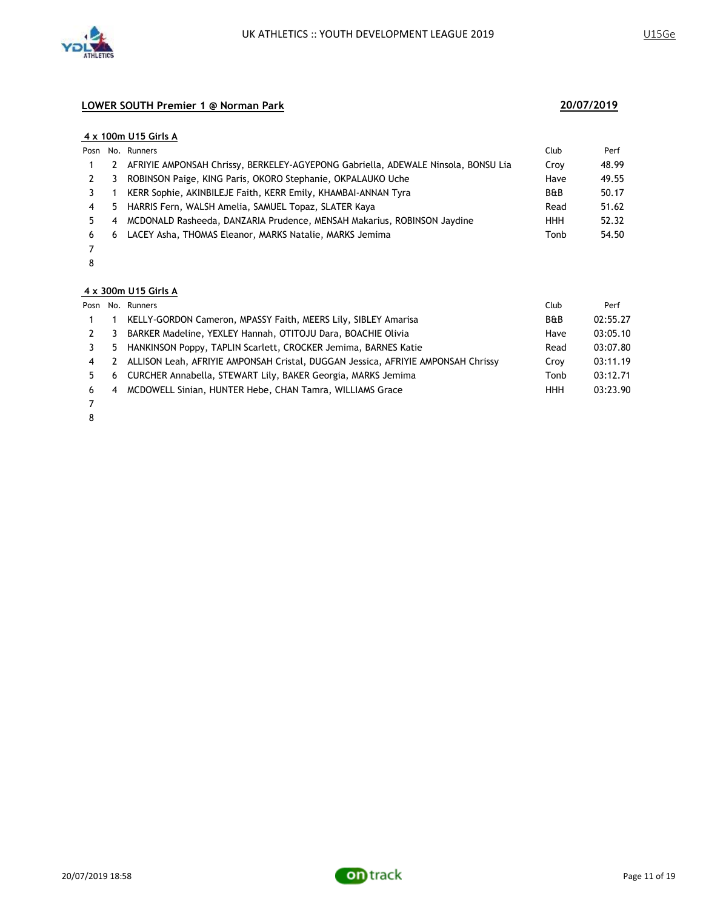

#### **4 x 100m U15 Girls A**

|    |     | Posn No. Runners                                                                  | Club           | Perf  |
|----|-----|-----------------------------------------------------------------------------------|----------------|-------|
|    | 2   | AFRIYIE AMPONSAH Chrissy, BERKELEY-AGYEPONG Gabriella, ADEWALE Ninsola, BONSU Lia | Croy           | 48.99 |
|    | 3   | ROBINSON Paige, KING Paris, OKORO Stephanie, OKPALAUKO Uche                       | Have           | 49.55 |
|    |     | KERR Sophie, AKINBILEJE Faith, KERR Emily, KHAMBAI-ANNAN Tyra                     | <b>B&amp;B</b> | 50.17 |
| 4  | -5. | HARRIS Fern, WALSH Amelia, SAMUEL Topaz, SLATER Kaya                              | Read           | 51.62 |
| 5. | 4   | MCDONALD Rasheeda, DANZARIA Prudence, MENSAH Makarius, ROBINSON Jaydine           | <b>HHH</b>     | 52.32 |
| 6  | 6   | LACEY Asha, THOMAS Eleanor, MARKS Natalie, MARKS Jemima                           | Tonb           | 54.50 |
|    |     |                                                                                   |                |       |

7 8

### **4 x 300m U15 Girls A**

|                |                | Posn No. Runners                                                                 | Club           | Perf     |
|----------------|----------------|----------------------------------------------------------------------------------|----------------|----------|
|                |                | KELLY-GORDON Cameron, MPASSY Faith, MEERS Lily, SIBLEY Amarisa                   | <b>B&amp;B</b> | 02:55.27 |
|                | 3              | BARKER Madeline, YEXLEY Hannah, OTITOJU Dara, BOACHIE Olivia                     | Have           | 03:05.10 |
|                |                | 5 HANKINSON Poppy, TAPLIN Scarlett, CROCKER Jemima, BARNES Katie                 | Read           | 03:07.80 |
| $\overline{4}$ | $\mathcal{L}$  | ALLISON Leah, AFRIYIE AMPONSAH Cristal, DUGGAN Jessica, AFRIYIE AMPONSAH Chrissy | Crov           | 03:11.19 |
| 5.             |                | 6 CURCHER Annabella, STEWART Lily, BAKER Georgia, MARKS Jemima                   | Tonb           | 03:12.71 |
| 6              | $\overline{4}$ | MCDOWELL Sinian, HUNTER Hebe, CHAN Tamra, WILLIAMS Grace                         | <b>HHH</b>     | 03:23.90 |
|                |                |                                                                                  |                |          |

- 7
- 8

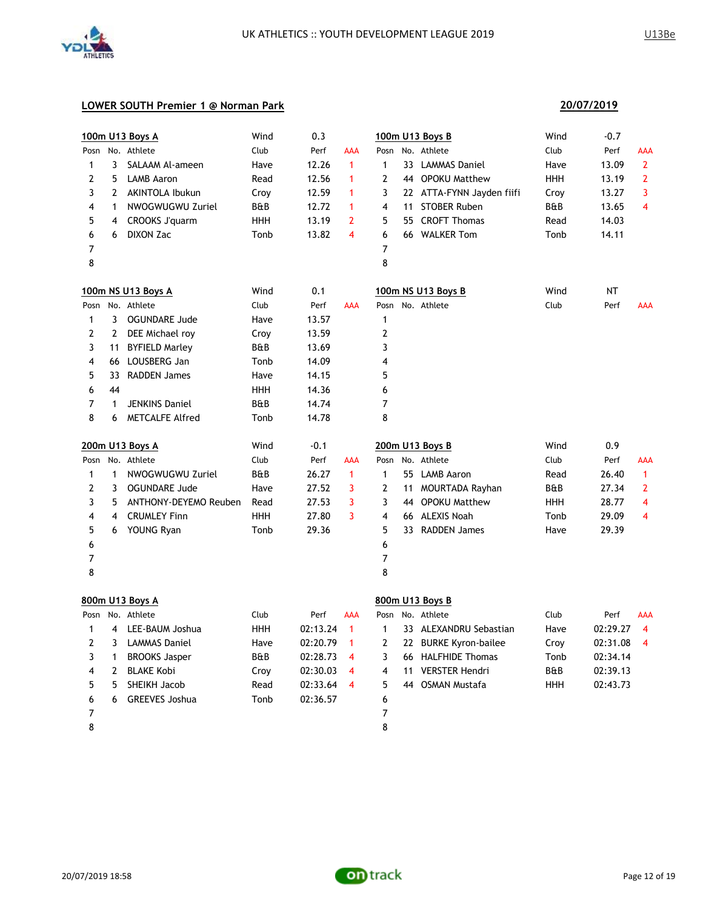

### **LOWER SOUTH Premier 1 @ Norman Park**

|                |                | 100m U13 Boys A       | Wind       | 0.3      |                |                         | 100m U13 Boys B           | Wind | $-0.7$    |                |
|----------------|----------------|-----------------------|------------|----------|----------------|-------------------------|---------------------------|------|-----------|----------------|
| Posn           |                | No. Athlete           | Club       | Perf     | AAA            |                         | Posn No. Athlete          | Club | Perf      | AAA            |
| 1              | 3              | SALAAM Al-ameen       | Have       | 12.26    | $\mathbf{1}$   | $\mathbf{1}$            | 33 LAMMAS Daniel          | Have | 13.09     | $\mathbf{2}$   |
| 2              | 5              | <b>LAMB Aaron</b>     | Read       | 12.56    | 1              | 2                       | 44 OPOKU Matthew          | HHH  | 13.19     | $\overline{2}$ |
| 3              | $\overline{2}$ | AKINTOLA Ibukun       | Croy       | 12.59    | 1              | 3                       | 22 ATTA-FYNN Jayden fiifi | Croy | 13.27     | 3              |
| 4              | $\mathbf{1}$   | NWOGWUGWU Zuriel      | B&B        | 12.72    | 1              | 4                       | 11 STOBER Ruben           | B&B  | 13.65     | 4              |
| 5              | 4              | CROOKS J'quarm        | <b>HHH</b> | 13.19    | $\overline{2}$ | 5                       | 55 CROFT Thomas           | Read | 14.03     |                |
| 6              | 6              | DIXON Zac             | Tonb       | 13.82    | 4              | 6                       | 66 WALKER Tom             | Tonb | 14.11     |                |
| 7              |                |                       |            |          |                | 7                       |                           |      |           |                |
| 8              |                |                       |            |          |                | 8                       |                           |      |           |                |
|                |                | 100m NS U13 Boys A    | Wind       | 0.1      |                |                         | 100m NS U13 Boys B        | Wind | <b>NT</b> |                |
| Posn           |                | No. Athlete           | Club       | Perf     | AAA            |                         | Posn No. Athlete          | Club | Perf      | <b>AAA</b>     |
| 1              | $\mathbf{3}$   | <b>OGUNDARE Jude</b>  | Have       | 13.57    |                | $\mathbf{1}$            |                           |      |           |                |
| 2              | $\mathbf{2}$   | DEE Michael roy       | Croy       | 13.59    |                | $\overline{2}$          |                           |      |           |                |
| 3              | 11             | <b>BYFIELD Marley</b> | B&B        | 13.69    |                | 3                       |                           |      |           |                |
| 4              | 66             | LOUSBERG Jan          | Tonb       | 14.09    |                | 4                       |                           |      |           |                |
| 5              | 33             | <b>RADDEN James</b>   | Have       | 14.15    |                | 5                       |                           |      |           |                |
| 6              | 44             |                       | <b>HHH</b> | 14.36    |                | 6                       |                           |      |           |                |
| 7              | $\mathbf{1}$   | <b>JENKINS Daniel</b> | B&B        | 14.74    |                | 7                       |                           |      |           |                |
| 8              | 6              | METCALFE Alfred       | Tonb       | 14.78    |                | 8                       |                           |      |           |                |
|                |                | 200m U13 Boys A       | Wind       | $-0.1$   |                |                         | 200m U13 Boys B           | Wind | 0.9       |                |
| Posn           |                | No. Athlete           | Club       | Perf     | AAA            |                         | Posn No. Athlete          | Club | Perf      | AAA            |
| 1              | $\mathbf{1}$   | NWOGWUGWU Zuriel      | B&B        | 26.27    | $\mathbf{1}$   | $\mathbf{1}$            | 55 LAMB Aaron             | Read | 26.40     | $\mathbf{1}$   |
| 2              | 3              | <b>OGUNDARE Jude</b>  | Have       | 27.52    | 3              | 2                       | 11 MOURTADA Rayhan        | B&B  | 27.34     | 2              |
| 3              | 5              | ANTHONY-DEYEMO Reuben | Read       | 27.53    | 3              | 3                       | 44 OPOKU Matthew          | HHH  | 28.77     | 4              |
| 4              | 4              | <b>CRUMLEY Finn</b>   | <b>HHH</b> | 27.80    | 3              | $\overline{4}$          | 66 ALEXIS Noah            | Tonb | 29.09     | 4              |
| 5              | 6              | YOUNG Ryan            | Tonb       | 29.36    |                | 5                       | 33 RADDEN James           | Have | 29.39     |                |
| 6              |                |                       |            |          |                | 6                       |                           |      |           |                |
| 7              |                |                       |            |          |                | 7                       |                           |      |           |                |
| 8              |                |                       |            |          |                | 8                       |                           |      |           |                |
|                |                | 800m U13 Boys A       |            |          |                |                         | 800m U13 Boys B           |      |           |                |
| Posn           |                | No. Athlete           | Club       | Perf     | <b>AAA</b>     | Posn                    | No. Athlete               | Club | Perf      | <b>AAA</b>     |
| 1              | 4              | LEE-BAUM Joshua       | <b>HHH</b> | 02:13.24 | $\mathbf{1}$   | $\mathbf{1}$            | 33 ALEXANDRU Sebastian    | Have | 02:29.27  | $\overline{4}$ |
| 2              | 3              | <b>LAMMAS Daniel</b>  | Have       | 02:20.79 | $\mathbf{1}$   | 2                       | 22 BURKE Kyron-bailee     | Croy | 02:31.08  | $\overline{4}$ |
| 3              | $\mathbf{1}$   | <b>BROOKS Jasper</b>  | B&B        | 02:28.73 | 4              | 3                       | 66 HALFHIDE Thomas        | Tonb | 02:34.14  |                |
| 4              | 2              | <b>BLAKE Kobi</b>     | Croy       | 02:30.03 | 4              | $\overline{\mathbf{4}}$ | 11 VERSTER Hendri         | B&B  | 02:39.13  |                |
| 5              | 5              | SHEIKH Jacob          | Read       | 02:33.64 | 4              | 5                       | 44 OSMAN Mustafa          | HHH  | 02:43.73  |                |
| 6              | 6              | <b>GREEVES Joshua</b> | Tonb       | 02:36.57 |                | 6                       |                           |      |           |                |
| $\overline{7}$ |                |                       |            |          |                | 7                       |                           |      |           |                |

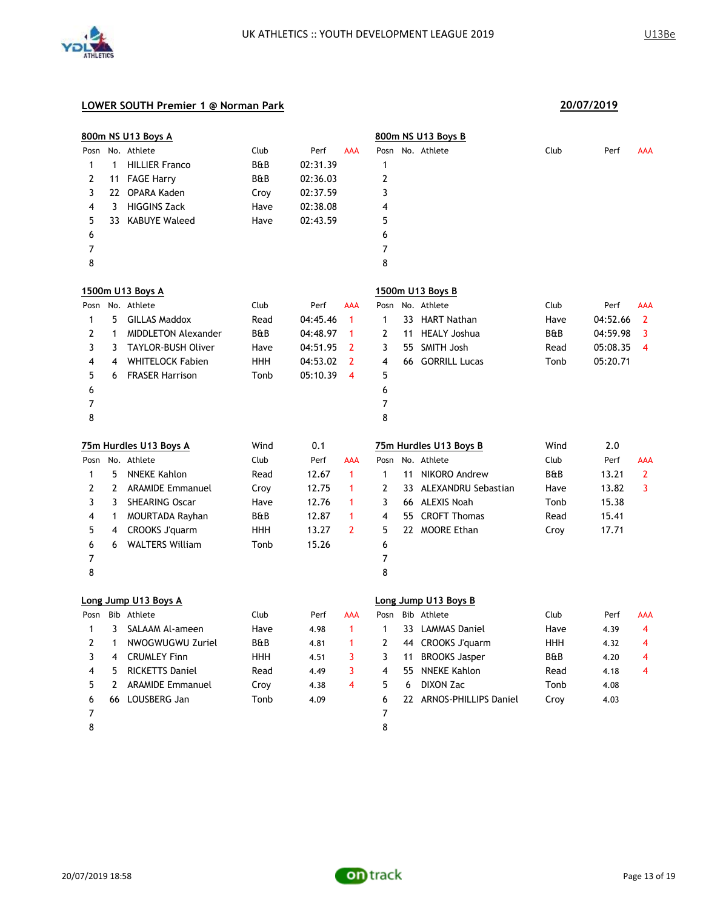

|                |                | 800m NS U13 Boys A         |            |          |                         |                |    | 800m NS U13 Boys B       |      |          |                |
|----------------|----------------|----------------------------|------------|----------|-------------------------|----------------|----|--------------------------|------|----------|----------------|
|                |                | Posn No. Athlete           | Club       | Perf     | <b>AAA</b>              | Posn           |    | No. Athlete              | Club | Perf     | AAA            |
| 1              | $\mathbf{1}$   | <b>HILLIER Franco</b>      | B&B        | 02:31.39 |                         | 1              |    |                          |      |          |                |
| 2              |                | 11 FAGE Harry              | B&B        | 02:36.03 |                         | 2              |    |                          |      |          |                |
| 3              |                | 22 OPARA Kaden             | Croy       | 02:37.59 |                         | 3              |    |                          |      |          |                |
| 4              | 3              | <b>HIGGINS Zack</b>        | Have       | 02:38.08 |                         | 4              |    |                          |      |          |                |
| 5              |                | 33 KABUYE Waleed           | Have       | 02:43.59 |                         | 5              |    |                          |      |          |                |
| 6              |                |                            |            |          |                         | 6              |    |                          |      |          |                |
| 7              |                |                            |            |          |                         | 7              |    |                          |      |          |                |
| 8              |                |                            |            |          |                         | 8              |    |                          |      |          |                |
|                |                | 1500m U13 Boys A           |            |          |                         |                |    | 1500m U13 Boys B         |      |          |                |
| Posn           |                | No. Athlete                | Club       | Perf     | <b>AAA</b>              | Posn           |    | No. Athlete              | Club | Perf     | <b>AAA</b>     |
| 1              | 5              | <b>GILLAS Maddox</b>       | Read       | 04:45.46 | $\mathbf{1}$            | $\mathbf{1}$   |    | 33 HART Nathan           | Have | 04:52.66 | $\overline{2}$ |
| 2              | $\mathbf{1}$   | <b>MIDDLETON Alexander</b> | B&B        | 04:48.97 | 1                       | $\overline{2}$ | 11 | <b>HEALY Joshua</b>      | B&B  | 04:59.98 | 3              |
| 3              | 3              | <b>TAYLOR-BUSH Oliver</b>  | Have       | 04:51.95 | $\overline{2}$          | 3              | 55 | <b>SMITH Josh</b>        | Read | 05:08.35 | 4              |
| 4              | 4              | <b>WHITELOCK Fabien</b>    | <b>HHH</b> | 04:53.02 | $\overline{2}$          | 4              |    | 66 GORRILL Lucas         | Tonb | 05:20.71 |                |
| 5              | 6              | <b>FRASER Harrison</b>     | Tonb       | 05:10.39 | $\overline{\mathbf{4}}$ | 5              |    |                          |      |          |                |
| 6              |                |                            |            |          |                         | 6              |    |                          |      |          |                |
| 7              |                |                            |            |          |                         | 7              |    |                          |      |          |                |
| 8              |                |                            |            |          |                         | 8              |    |                          |      |          |                |
|                |                | 75m Hurdles U13 Boys A     | Wind       | 0.1      |                         |                |    | 75m Hurdles U13 Boys B   | Wind | 2.0      |                |
|                |                | Posn No. Athlete           | Club       | Perf     | <b>AAA</b>              | Posn           |    | No. Athlete              | Club | Perf     | AAA            |
| 1              | 5              | <b>NNEKE Kahlon</b>        | Read       | 12.67    | $\mathbf{1}$            | $\mathbf{1}$   | 11 | NIKORO Andrew            | B&B  | 13.21    | $\mathbf{2}$   |
| $\overline{2}$ | $\mathbf{2}$   | <b>ARAMIDE Emmanuel</b>    | Croy       | 12.75    | $\mathbf{1}$            | 2              |    | 33 ALEXANDRU Sebastian   | Have | 13.82    | 3              |
| 3              | 3              | <b>SHEARING Oscar</b>      | Have       | 12.76    | $\mathbf 1$             | 3              |    | 66 ALEXIS Noah           | Tonb | 15.38    |                |
| 4              | $\mathbf{1}$   | MOURTADA Rayhan            | B&B        | 12.87    | 1                       | 4              |    | 55 CROFT Thomas          | Read | 15.41    |                |
| 5              | 4              | CROOKS J'quarm             | <b>HHH</b> | 13.27    | $\overline{2}$          | 5              |    | 22 MOORE Ethan           | Croy | 17.71    |                |
| 6              | 6              | <b>WALTERS William</b>     | Tonb       | 15.26    |                         | 6              |    |                          |      |          |                |
| 7              |                |                            |            |          |                         | 7              |    |                          |      |          |                |
| 8              |                |                            |            |          |                         | 8              |    |                          |      |          |                |
|                |                | Long Jump U13 Boys A       |            |          |                         |                |    | Long Jump U13 Boys B     |      |          |                |
| Posn           |                | Bib Athlete                | Club       | Perf     | AAA                     | Posn           |    | Bib Athlete              | Club | Perf     | AAA            |
| 1              | 3              | SALAAM Al-ameen            | Have       | 4.98     | $\mathbf{1}$            | 1              |    | 33 LAMMAS Daniel         | Have | 4.39     | 4              |
| 2              | $\mathbf{1}$   | NWOGWUGWU Zuriel           | B&B        | 4.81     | $\mathbf{1}$            | 2              |    | 44 CROOKS J'quarm        | HHH  | 4.32     | 4              |
| 3              | 4              | <b>CRUMLEY Finn</b>        | HHH        | 4.51     | 3                       | 3              | 11 | <b>BROOKS Jasper</b>     | B&B  | 4.20     | 4              |
| 4              | 5              | <b>RICKETTS Daniel</b>     | Read       | 4.49     | 3                       | 4              |    | 55 NNEKE Kahlon          | Read | 4.18     | 4              |
| 5              | $\overline{2}$ | <b>ARAMIDE Emmanuel</b>    | Croy       | 4.38     | $\overline{\mathbf{4}}$ | 5              | 6  | DIXON Zac                | Tonb | 4.08     |                |
| 6              |                | 66 LOUSBERG Jan            | Tonb       | 4.09     |                         | 6              |    | 22 ARNOS-PHILLIPS Daniel | Croy | 4.03     |                |
| 7              |                |                            |            |          |                         | 7              |    |                          |      |          |                |
| 8              |                |                            |            |          |                         | 8              |    |                          |      |          |                |

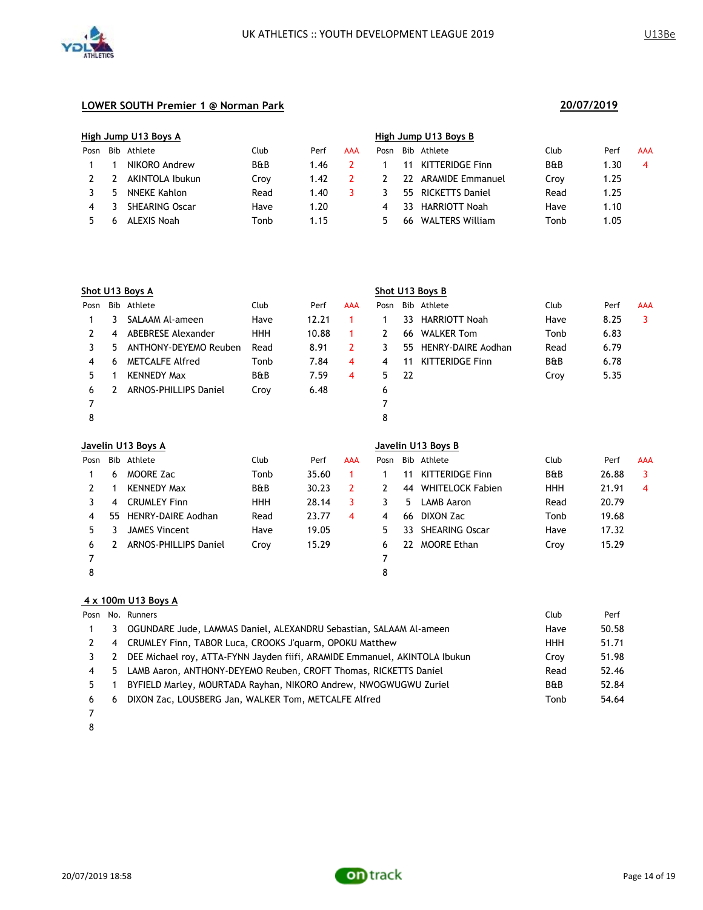

|      | High Jump U13 Boys A |                       |                |      |     | High Jump U13 Boys B |     |                         |                |      |            |  |
|------|----------------------|-----------------------|----------------|------|-----|----------------------|-----|-------------------------|----------------|------|------------|--|
| Posn | Bib                  | Athlete               | Club           | Perf | AAA | Posn                 | Bib | Athlete                 | Club           | Perf | <b>AAA</b> |  |
|      |                      | NIKORO Andrew         | <b>B&amp;B</b> | 1.46 |     |                      |     | KITTERIDGE Finn         | <b>B&amp;B</b> | .30  | 4          |  |
|      |                      | AKINTOLA Ibukun       | Croy           | 1.42 |     |                      | 77  | <b>ARAMIDE Emmanuel</b> | Crov           | 1.25 |            |  |
|      | 5                    | NNEKE Kahlon          | Read           | 1.40 |     |                      | 55. | RICKETTS Daniel         | Read           | 1.25 |            |  |
| 4    |                      | <b>SHEARING Oscar</b> | Have           | 1.20 |     | 4                    | 33  | <b>HARRIOTT Noah</b>    | Have           | 1.10 |            |  |
|      |                      | ALEXIS Noah           | Tonb           | 1.15 |     | 5                    | 66  | <b>WALTERS William</b>  | Tonb           | .05  |            |  |

|      | Shot U13 Boys A    |                              |                |       |            | Shot U13 Boys B |                    |                           |                |      |            |  |
|------|--------------------|------------------------------|----------------|-------|------------|-----------------|--------------------|---------------------------|----------------|------|------------|--|
| Posn | Bib                | Athlete                      | Club           | Perf  | <b>AAA</b> | Posn            |                    | Bib Athlete               | Club           | Perf | <b>AAA</b> |  |
|      | 3                  | SALAAM Al-ameen              | Have           | 12.21 |            |                 | 33                 | <b>HARRIOTT Noah</b>      | Have           | 8.25 | 3          |  |
| 2    | 4                  | ABEBRESE Alexander           | <b>HHH</b>     | 10.88 |            | 2               | 66                 | <b>WALKER Tom</b>         | Tonb           | 6.83 |            |  |
| 3    | 5.                 | ANTHONY-DEYEMO Reuben        | Read           | 8.91  | 2          | 3               | 55                 | <b>HENRY-DAIRE Aodhan</b> | Read           | 6.79 |            |  |
| 4    | 6                  | <b>METCALFE Alfred</b>       | Tonb           | 7.84  | 4          | 4               | 11                 | <b>KITTERIDGE Finn</b>    | <b>B&amp;B</b> | 6.78 |            |  |
| 5.   |                    | <b>KENNEDY Max</b>           | <b>B&amp;B</b> | 7.59  | 4          | 5.              | -22                |                           | Croy           | 5.35 |            |  |
| 6    |                    | <b>ARNOS-PHILLIPS Daniel</b> | Croy           | 6.48  |            | 6               |                    |                           |                |      |            |  |
| 7    |                    |                              |                |       |            | 7               |                    |                           |                |      |            |  |
| 8    |                    |                              |                |       |            | 8               |                    |                           |                |      |            |  |
|      | Javelin U13 Boys A |                              |                |       |            |                 | Javelin U13 Boys B |                           |                |      |            |  |

| Posn |     | Bib Athlete                  | Club           | Perf  | <b>AAA</b> | Posn |    | Bib Athlete             | Club           | Perf  | <b>AAA</b> |
|------|-----|------------------------------|----------------|-------|------------|------|----|-------------------------|----------------|-------|------------|
|      | 6   | <b>MOORE Zac</b>             | Tonb           | 35.60 |            |      |    | <b>KITTERIDGE Finn</b>  | <b>B&amp;B</b> | 26.88 | 3          |
|      |     | <b>KENNEDY Max</b>           | <b>B&amp;B</b> | 30.23 |            |      | 44 | <b>WHITELOCK Fabien</b> | <b>HHH</b>     | 21.91 | 4          |
|      | 4   | <b>CRUMLEY Finn</b>          | <b>HHH</b>     | 28.14 |            |      | b. | LAMB Aaron              | Read           | 20.79 |            |
| 4    | 55. | HENRY-DAIRE Aodhan           | Read           | 23.77 | 4          | 4    | 66 | DIXON Zac               | Tonb           | 19.68 |            |
| 5.   |     | JAMES Vincent                | Have           | 19.05 |            | 5.   | 33 | <b>SHEARING Oscar</b>   | Have           | 17.32 |            |
| 6    |     | <b>ARNOS-PHILLIPS Daniel</b> | Croy           | 15.29 |            | 6    | 22 | <b>MOORE Ethan</b>      | Croy           | 15.29 |            |
|      |     |                              |                |       |            |      |    |                         |                |       |            |
|      |     |                              |                |       |            | 8    |    |                         |                |       |            |

#### **4 x 100m U13 Boys A**

|   |    | Posn No. Runners                                                           | Club           | Perf  |
|---|----|----------------------------------------------------------------------------|----------------|-------|
|   | 3  | OGUNDARE Jude, LAMMAS Daniel, ALEXANDRU Sebastian, SALAAM Al-ameen         | Have           | 50.58 |
|   | 4  | CRUMLEY Finn, TABOR Luca, CROOKS J'quarm, OPOKU Matthew                    | <b>HHH</b>     | 51.71 |
|   | 2  | DEE Michael roy, ATTA-FYNN Jayden fiifi, ARAMIDE Emmanuel, AKINTOLA Ibukun | Crov           | 51.98 |
| 4 | 5. | LAMB Aaron, ANTHONY-DEYEMO Reuben, CROFT Thomas, RICKETTS Daniel           | Read           | 52.46 |
|   |    | BYFIELD Marley, MOURTADA Rayhan, NIKORO Andrew, NWOGWUGWU Zuriel           | <b>B&amp;B</b> | 52.84 |
| 6 | 6  | DIXON Zac, LOUSBERG Jan, WALKER Tom, METCALFE Alfred                       | Tonb           | 54.64 |

- 
- 

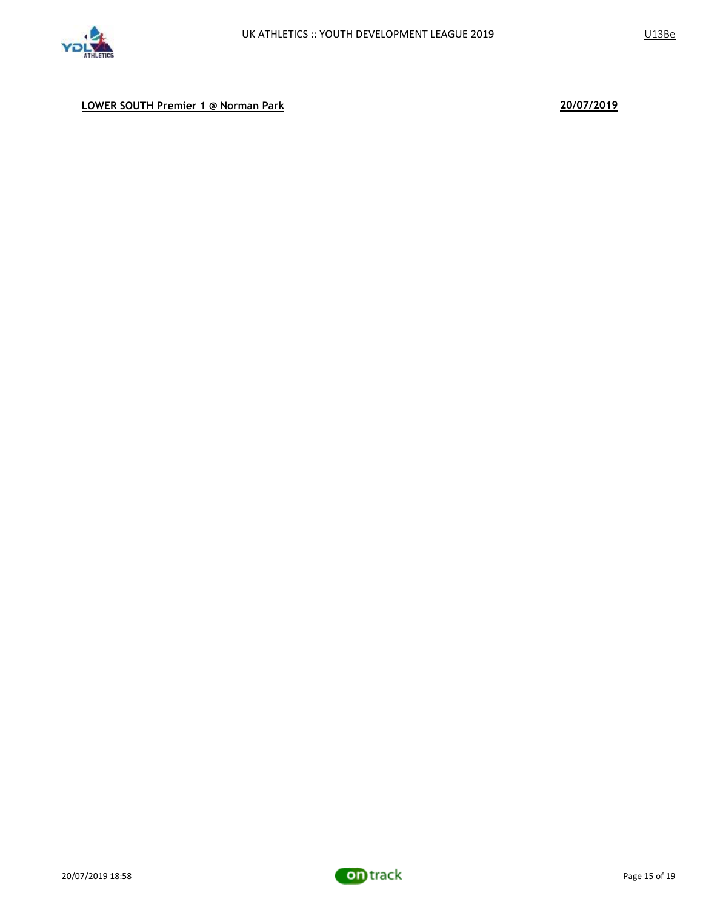

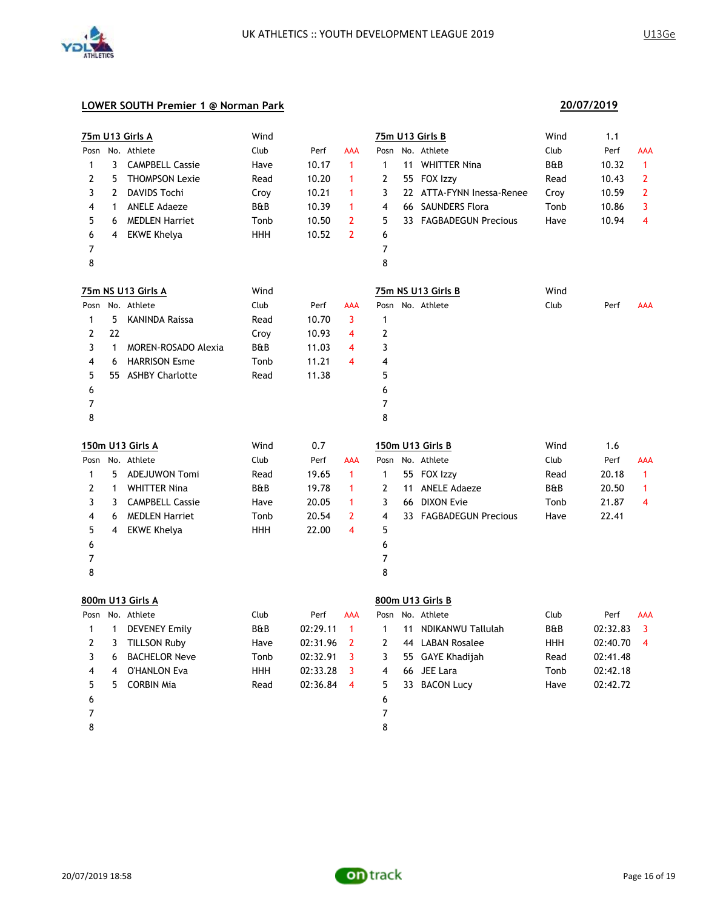

|              |              | <b>75m U13 Girls A</b>  | Wind       |            |                |              |    | <b>75m U13 Girls B</b>    | Wind       | 1.1        |                         |
|--------------|--------------|-------------------------|------------|------------|----------------|--------------|----|---------------------------|------------|------------|-------------------------|
|              |              | Posn No. Athlete        | Club       | Perf       | AAA            |              |    | Posn No. Athlete          | Club       | Perf       | AAA                     |
| 1            | 3            | <b>CAMPBELL Cassie</b>  | Have       | 10.17      | 1              | 1            |    | 11 WHITTER Nina           | B&B        | 10.32      | $\mathbf{1}$            |
| 2            | 5            | <b>THOMPSON Lexie</b>   | Read       | 10.20      | 1              | 2            |    | 55 FOX Izzy               | Read       | 10.43      | 2                       |
| 3            | 2            | DAVIDS Tochi            | Croy       | 10.21      | 1              | 3            |    | 22 ATTA-FYNN Inessa-Renee | Croy       | 10.59      | $\overline{2}$          |
| 4            | 1            | <b>ANELE Adaeze</b>     | B&B        | 10.39      | 1              | 4            |    | 66 SAUNDERS Flora         | Tonb       | 10.86      | 3                       |
| 5            | 6            | <b>MEDLEN Harriet</b>   | Tonb       | 10.50      | 2              | 5            |    | 33 FAGBADEGUN Precious    | Have       | 10.94      | 4                       |
| 6            | 4            | <b>EKWE Khelya</b>      | HHH        | 10.52      | $\overline{2}$ | 6            |    |                           |            |            |                         |
| 7            |              |                         |            |            |                | 7            |    |                           |            |            |                         |
| 8            |              |                         |            |            |                | 8            |    |                           |            |            |                         |
|              |              | 75m NS U13 Girls A      | Wind       |            |                |              |    | 75m NS U13 Girls B        | Wind       |            |                         |
|              |              | Posn No. Athlete        | Club       | Perf       | <b>AAA</b>     |              |    | Posn No. Athlete          | Club       | Perf       | AAA                     |
| 1            | 5            | <b>KANINDA Raissa</b>   | Read       | 10.70      | 3              | 1            |    |                           |            |            |                         |
| 2            | 22           |                         | Croy       | 10.93      | 4              | 2            |    |                           |            |            |                         |
| 3            | $\mathbf{1}$ | MOREN-ROSADO Alexia     | B&B        | 11.03      | 4              | 3            |    |                           |            |            |                         |
| 4            | 6            | <b>HARRISON Esme</b>    | Tonb       | 11.21      | 4              | 4            |    |                           |            |            |                         |
| 5            |              | 55 ASHBY Charlotte      | Read       | 11.38      |                | 5            |    |                           |            |            |                         |
| 6            |              |                         |            |            |                | 6            |    |                           |            |            |                         |
| 7            |              |                         |            |            |                | 7            |    |                           |            |            |                         |
| 8            |              |                         |            |            |                | 8            |    |                           |            |            |                         |
|              |              | <u>150m U13 Girls A</u> | Wind       | 0.7        |                |              |    | 150m U13 Girls B          | Wind       | 1.6        |                         |
| Posn         |              | No. Athlete             | Club       | Perf       | AAA            | Posn         |    | No. Athlete               | Club       | Perf       | AAA                     |
| 1            | 5            | <b>ADEJUWON Tomi</b>    | Read       | 19.65      | $\mathbf{1}$   | 1            |    | 55 FOX Izzy               | Read       | 20.18      | $\mathbf{1}$            |
| 2            | 1            | <b>WHITTER Nina</b>     | B&B        | 19.78      | 1              | 2            | 11 | <b>ANELE Adaeze</b>       | B&B        | 20.50      | 1                       |
| 3            | 3            | <b>CAMPBELL Cassie</b>  | Have       | 20.05      | 1              | 3            |    | 66 DIXON Evie             | Tonb       | 21.87      | 4                       |
| 4            | 6            | <b>MEDLEN Harriet</b>   | Tonb       | 20.54      | 2              | 4            |    | 33 FAGBADEGUN Precious    | Have       | 22.41      |                         |
| 5            | 4            | EKWE Khelya             | HHH        | 22.00      | 4              | 5            |    |                           |            |            |                         |
| 6            |              |                         |            |            |                | 6            |    |                           |            |            |                         |
| 7            |              |                         |            |            |                | 7            |    |                           |            |            |                         |
| 8            |              |                         |            |            |                | 8            |    |                           |            |            |                         |
|              |              | 800m U13 Girls A        |            |            |                |              |    | 800m U13 Girls B          |            |            |                         |
|              |              | Posn No. Athlete        | Club       | Perf       | <b>AAA</b>     |              |    | Posn No. Athlete          | Club       | Perf       | AAA                     |
| 1            |              | 1 DEVENEY Emily         | B&B        | 02:29.11   | $\overline{1}$ | $\mathbf{1}$ |    | 11 NDIKANWU Tallulah      | B&B        | 02:32.83   | $\overline{\mathbf{3}}$ |
| $\mathbf{2}$ |              | 3 TILLSON Ruby          | Have       | 02:31.96 2 |                | $\mathbf{2}$ |    | 44 LABAN Rosalee          | <b>HHH</b> | 02:40.70 4 |                         |
| 3            | 6            | <b>BACHELOR Neve</b>    | Tonb       | 02:32.91   | 3              | 3            |    | 55 GAYE Khadijah          | Read       | 02:41.48   |                         |
| 4            | 4            | <b>O'HANLON Eva</b>     | <b>HHH</b> | 02:33.28   | 3              | 4            |    | 66 JEE Lara               | Tonb       | 02:42.18   |                         |
| 5            | 5            | <b>CORBIN Mia</b>       | Read       | 02:36.84   | $\overline{4}$ | 5            |    | 33 BACON Lucy             | Have       | 02:42.72   |                         |
| 6            |              |                         |            |            |                | 6            |    |                           |            |            |                         |
| 7            |              |                         |            |            |                | 7            |    |                           |            |            |                         |
|              |              |                         |            |            |                | 8            |    |                           |            |            |                         |

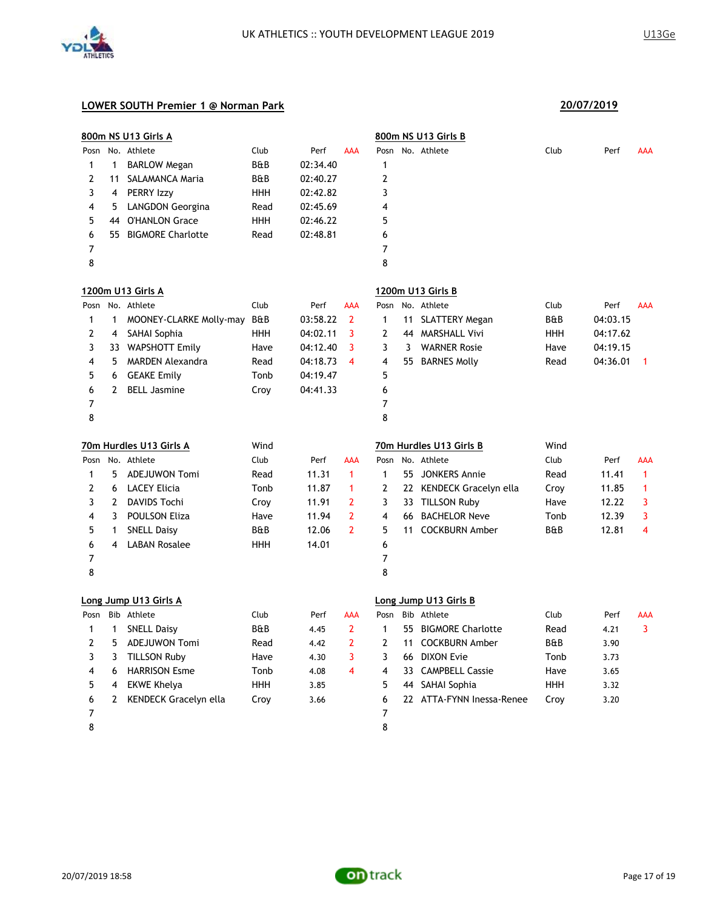

|      |             | 800m NS U13 Girls A      |                |          |                      |              |     | 800m NS U13 Girls B       |            |          |              |
|------|-------------|--------------------------|----------------|----------|----------------------|--------------|-----|---------------------------|------------|----------|--------------|
| Posn |             | No. Athlete              | Club           | Perf     | AAA                  | Posn         |     | No. Athlete               | Club       | Perf     | AAA          |
| 1    | 1           | <b>BARLOW Megan</b>      | <b>B&amp;B</b> | 02:34.40 |                      | 1            |     |                           |            |          |              |
| 2    | 11          | SALAMANCA Maria          | B&B            | 02:40.27 |                      | 2            |     |                           |            |          |              |
| 3    | 4           | PERRY Izzy               | HHH            | 02:42.82 |                      | 3            |     |                           |            |          |              |
| 4    | 5           | LANGDON Georgina         | Read           | 02:45.69 |                      | 4            |     |                           |            |          |              |
| 5    | 44          | <b>O'HANLON Grace</b>    | <b>HHH</b>     | 02:46.22 |                      | 5            |     |                           |            |          |              |
| 6    | 55.         | <b>BIGMORE Charlotte</b> | Read           | 02:48.81 |                      | 6            |     |                           |            |          |              |
| 7    |             |                          |                |          |                      | 7            |     |                           |            |          |              |
| 8    |             |                          |                |          |                      | 8            |     |                           |            |          |              |
|      |             | 1200m U13 Girls A        |                |          |                      |              |     | 1200m U13 Girls B         |            |          |              |
| Posn |             | No. Athlete              | Club           | Perf     | AAA                  |              |     | Posn No. Athlete          | Club       | Perf     | <b>AAA</b>   |
| 1    | 1           | MOONEY-CLARKE Molly-may  | B&B            | 03:58.22 | $\mathbf{2}$         | 1            | 11  | <b>SLATTERY Megan</b>     | B&B        | 04:03.15 |              |
| 2    | 4           | SAHAI Sophia             | <b>HHH</b>     | 04:02.11 | 3                    | 2            |     | 44 MARSHALL Vivi          | HHH        | 04:17.62 |              |
| 3    |             | 33 WAPSHOTT Emily        | Have           | 04:12.40 | 3                    | 3            | 3   | <b>WARNER Rosie</b>       | Have       | 04:19.15 |              |
| 4    | 5           | <b>MARDEN Alexandra</b>  | Read           | 04:18.73 | $\overline{4}$       | 4            |     | 55 BARNES Molly           | Read       | 04:36.01 | -1           |
| 5    | 6           | <b>GEAKE Emily</b>       | Tonb           | 04:19.47 |                      | 5            |     |                           |            |          |              |
| 6    | 2           | <b>BELL Jasmine</b>      | Croy           | 04:41.33 |                      | 6            |     |                           |            |          |              |
| 7    |             |                          |                |          |                      | 7            |     |                           |            |          |              |
| 8    |             |                          |                |          |                      | 8            |     |                           |            |          |              |
|      |             |                          |                |          |                      |              |     |                           |            |          |              |
|      |             | 70m Hurdles U13 Girls A  | Wind           |          |                      |              |     | 70m Hurdles U13 Girls B   | Wind       |          |              |
| Posn |             | No. Athlete              | Club           | Perf     | AAA                  | Posn         |     | No. Athlete               | Club       | Perf     | AAA          |
| 1    | 5           | <b>ADEJUWON Tomi</b>     | Read           | 11.31    | $\blacktriangleleft$ | $\mathbf{1}$ | 55  | <b>JONKERS Annie</b>      | Read       | 11.41    | $\mathbf{1}$ |
| 2    | 6           | <b>LACEY Elicia</b>      | Tonb           | 11.87    | 1                    | 2            |     | 22 KENDECK Gracelyn ella  | Croy       | 11.85    | 1            |
| 3    | 2           | <b>DAVIDS Tochi</b>      | Croy           | 11.91    | 2                    | 3            |     | 33 TILLSON Ruby           | Have       | 12.22    | 3            |
| 4    | 3           | <b>POULSON Eliza</b>     | Have           | 11.94    | $\overline{2}$       | 4            | 66. | <b>BACHELOR Neve</b>      | Tonb       | 12.39    | 3            |
| 5    | 1           | <b>SNELL Daisy</b>       | B&B            | 12.06    | $\overline{2}$       | 5            | 11  | <b>COCKBURN Amber</b>     | B&B        | 12.81    | 4            |
| 6    | 4           | <b>LABAN Rosalee</b>     | HHH            | 14.01    |                      | 6            |     |                           |            |          |              |
| 7    |             |                          |                |          |                      | 7            |     |                           |            |          |              |
| 8    |             |                          |                |          |                      | 8            |     |                           |            |          |              |
|      |             | Long Jump U13 Girls A    |                |          |                      |              |     | Long Jump U13 Girls B     |            |          |              |
| Posn |             | Bib Athlete              | Club           | Perf     | AAA                  | Posn         |     | Bib Athlete               | Club       | Perf     | AAA          |
| 1    | 1           | <b>SNELL Daisy</b>       | B&B            | 4.45     | $\overline{2}$       | 1            |     | 55 BIGMORE Charlotte      | Read       | 4.21     | 3            |
| 7    |             | 5 ADEJUWON Tomi          | Read           | 4.42     | $\mathcal{P}$        | 2            |     | 11 COCKBURN Amber         | B&B        | 3.90     |              |
| 3    | 3           | <b>TILLSON Ruby</b>      | Have           | 4.30     | 3                    | 3            |     | 66 DIXON Evie             | Tonb       | 3.73     |              |
| 4    | 6           | <b>HARRISON Esme</b>     | Tonb           | 4.08     | 4                    | 4            |     | 33 CAMPBELL Cassie        | Have       | 3.65     |              |
| 5    | 4           | <b>EKWE Khelya</b>       | <b>HHH</b>     | 3.85     |                      | 5            |     | 44 SAHAI Sophia           | <b>HHH</b> | 3.32     |              |
| 6    | $2^{\circ}$ | KENDECK Gracelyn ella    | Croy           | 3.66     |                      | 6            |     | 22 ATTA-FYNN Inessa-Renee | Croy       | 3.20     |              |
| 7    |             |                          |                |          |                      | 7            |     |                           |            |          |              |

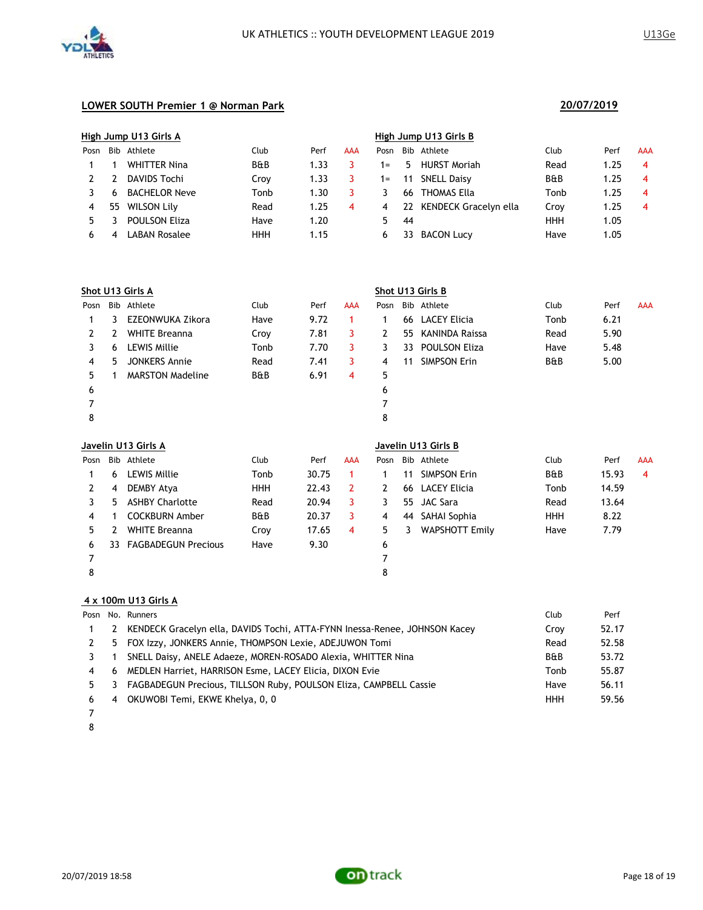



|      | High Jump U13 Girls A |                      |                |      |            |       |     | High Jump U13 Girls B    |                |      |                |  |  |  |
|------|-----------------------|----------------------|----------------|------|------------|-------|-----|--------------------------|----------------|------|----------------|--|--|--|
| Posn |                       | Bib Athlete          | Club           | Perf | <b>AAA</b> | Posn  |     | Bib Athlete              | Club           | Perf | <b>AAA</b>     |  |  |  |
|      |                       | <b>WHITTER Nina</b>  | <b>B&amp;B</b> | 1.33 |            | $1 =$ | 5.  | <b>HURST Moriah</b>      | Read           | 1.25 | $\overline{4}$ |  |  |  |
|      |                       | DAVIDS Tochi         | Croy           | 1.33 |            | $1 =$ | 11  | <b>SNELL Daisy</b>       | <b>B&amp;B</b> | 1.25 | 4              |  |  |  |
|      | 6                     | <b>BACHELOR Neve</b> | Tonb           | 1.30 |            |       | 66. | THOMAS Ella              | Tonb           | 1.25 | 4              |  |  |  |
| 4    | 55                    | <b>WILSON Lily</b>   | Read           | 1.25 | 4          | 4     |     | 22 KENDECK Gracelyn ella | Croy           | 1.25 | 4              |  |  |  |
|      |                       | <b>POULSON Eliza</b> | Have           | 1.20 |            | 5     | 44  |                          | <b>HHH</b>     | 1.05 |                |  |  |  |
| 6    | 4                     | LABAN Rosalee        | HHH            | 1.15 |            | 6     | 33  | <b>BACON Lucy</b>        | Have           | 1.05 |                |  |  |  |

|      | Shot U13 Girls A |                         |                |      |            |      |    | Shot U13 Girls B     |      |      |            |  |  |
|------|------------------|-------------------------|----------------|------|------------|------|----|----------------------|------|------|------------|--|--|
| Posn |                  | Bib Athlete             | Club           | Perf | <b>AAA</b> | Posn |    | Bib Athlete          | Club | Perf | <b>AAA</b> |  |  |
|      | 3.               | EZEONWUKA Zikora        | Have           | 9.72 |            |      |    | 66 LACEY Elicia      | Tonb | 6.21 |            |  |  |
| 2    | 2                | <b>WHITE Breanna</b>    | Croy           | 7.81 | 3          |      | 55 | KANINDA Raissa       | Read | 5.90 |            |  |  |
|      | 6                | LEWIS Millie            | Tonb           | 7.70 | 3          |      | 33 | <b>POULSON Eliza</b> | Have | 5.48 |            |  |  |
| 4    | 5.               | <b>JONKERS Annie</b>    | Read           | 7.41 | 3          | 4    | 11 | <b>SIMPSON Erin</b>  | B&B  | 5.00 |            |  |  |
| 5.   |                  | <b>MARSTON Madeline</b> | <b>B&amp;B</b> | 6.91 | 4          | 5    |    |                      |      |      |            |  |  |
| 6    |                  |                         |                |      |            | 6    |    |                      |      |      |            |  |  |
|      |                  |                         |                |      |            |      |    |                      |      |      |            |  |  |
| 8    |                  |                         |                |      |            | 8    |    |                      |      |      |            |  |  |

|      | Javelin U13 Girls A |                            |                |       |     |      |    | Javelin U13 Girls B |                |       |     |  |  |  |
|------|---------------------|----------------------------|----------------|-------|-----|------|----|---------------------|----------------|-------|-----|--|--|--|
| Posn |                     | Bib Athlete                | Club           | Perf  | AAA | Posn |    | Bib Athlete         | Club           | Perf  | AAA |  |  |  |
|      | 6                   | LEWIS Millie               | Tonb           | 30.75 |     |      | 11 | <b>SIMPSON Erin</b> | <b>B&amp;B</b> | 15.93 | 4   |  |  |  |
| 2    | 4                   | DEMBY Atya                 | <b>HHH</b>     | 22.43 |     |      | 66 | LACEY Elicia        | Tonb           | 14.59 |     |  |  |  |
|      | 5.                  | <b>ASHBY Charlotte</b>     | Read           | 20.94 | 3   |      |    | 55 JAC Sara         | Read           | 13.64 |     |  |  |  |
| 4    |                     | <b>COCKBURN Amber</b>      | <b>B&amp;B</b> | 20.37 | 3   | 4    | 44 | SAHAI Sophia        | <b>HHH</b>     | 8.22  |     |  |  |  |
| 5.   |                     | <b>WHITE Breanna</b>       | Croy           | 17.65 | 4   | 5    | 3  | WAPSHOTT Emily      | Have           | 7.79  |     |  |  |  |
| 6    | 33.                 | <b>FAGBADEGUN Precious</b> | Have           | 9.30  |     | 6    |    |                     |                |       |     |  |  |  |
|      |                     |                            |                |       |     |      |    |                     |                |       |     |  |  |  |
| 8    |                     |                            |                |       |     | 8    |    |                     |                |       |     |  |  |  |

#### **4 x 100m U13 Girls A**

|               |    | Posn No. Runners                                                           | Club           | Perf  |
|---------------|----|----------------------------------------------------------------------------|----------------|-------|
|               | 2  | KENDECK Gracelyn ella, DAVIDS Tochi, ATTA-FYNN Inessa-Renee, JOHNSON Kacey | Crov           | 52.17 |
| $\mathcal{L}$ |    | 5 FOX Izzy, JONKERS Annie, THOMPSON Lexie, ADEJUWON Tomi                   | Read           | 52.58 |
|               |    | SNELL Daisy, ANELE Adaeze, MOREN-ROSADO Alexia, WHITTER Nina               | <b>B&amp;B</b> | 53.72 |
| 4             | 6. | MEDLEN Harriet, HARRISON Esme, LACEY Elicia, DIXON Evie                    | Tonb           | 55.87 |
| 5.            | 3  | FAGBADEGUN Precious, TILLSON Ruby, POULSON Eliza, CAMPBELL Cassie          | Have           | 56.11 |
| 6             | 4  | OKUWOBI Temi, EKWE Khelya, 0, 0                                            | <b>HHH</b>     | 59.56 |